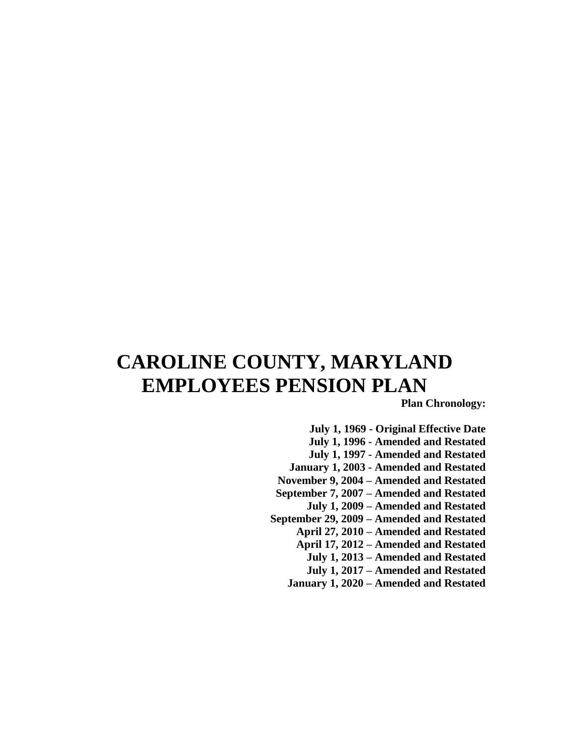# **CAROLINE COUNTY, MARYLAND EMPLOYEES PENSION PLAN**

**Plan Chronology:**

**July 1, 1969 - Original Effective Date July 1, 1996 - Amended and Restated July 1, 1997 - Amended and Restated January 1, 2003 - Amended and Restated November 9, 2004 – Amended and Restated September 7, 2007 – Amended and Restated July 1, 2009 – Amended and Restated September 29, 2009 – Amended and Restated April 27, 2010 – Amended and Restated April 17, 2012 – Amended and Restated July 1, 2013 – Amended and Restated July 1, 2017 – Amended and Restated January 1, 2020 – Amended and Restated**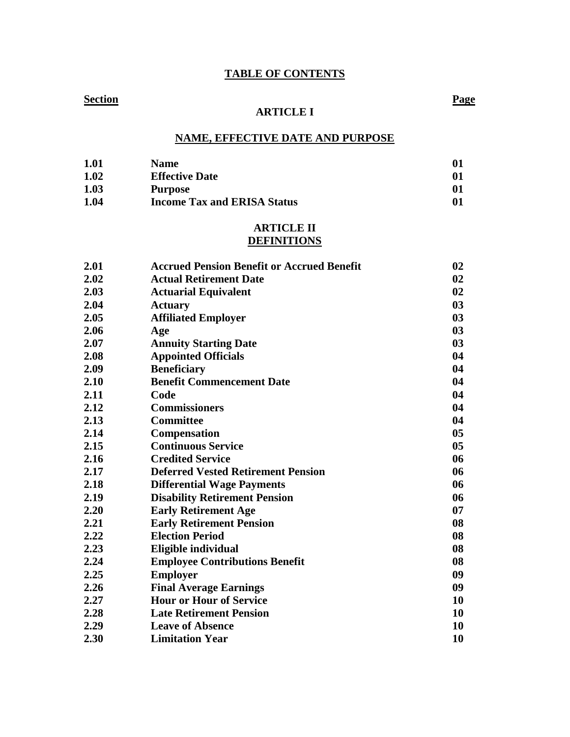## **TABLE OF CONTENTS**

## **Section Page**

## **ARTICLE I**

## **NAME, EFFECTIVE DATE AND PURPOSE**

| 1.01 | <b>Name</b>                        | 01           |
|------|------------------------------------|--------------|
| 1.02 | <b>Effective Date</b>              | $\mathbf{0}$ |
| 1.03 | <b>Purpose</b>                     | $\mathbf{0}$ |
| 1.04 | <b>Income Tax and ERISA Status</b> | $\mathbf{0}$ |

## **ARTICLE II DEFINITIONS**

| 2.01 | <b>Accrued Pension Benefit or Accrued Benefit</b> | 02             |
|------|---------------------------------------------------|----------------|
| 2.02 | <b>Actual Retirement Date</b>                     | 02             |
| 2.03 | <b>Actuarial Equivalent</b>                       | 02             |
| 2.04 | <b>Actuary</b>                                    | 03             |
| 2.05 | <b>Affiliated Employer</b>                        | 03             |
| 2.06 | Age                                               | 03             |
| 2.07 | <b>Annuity Starting Date</b>                      | 03             |
| 2.08 | <b>Appointed Officials</b>                        | 04             |
| 2.09 | <b>Beneficiary</b>                                | 04             |
| 2.10 | <b>Benefit Commencement Date</b>                  | 04             |
| 2.11 | Code                                              | 04             |
| 2.12 | <b>Commissioners</b>                              | 04             |
| 2.13 | <b>Committee</b>                                  | 04             |
| 2.14 | Compensation                                      | 0 <sub>5</sub> |
| 2.15 | <b>Continuous Service</b>                         | 0 <sub>5</sub> |
| 2.16 | <b>Credited Service</b>                           | 06             |
| 2.17 | <b>Deferred Vested Retirement Pension</b>         | 06             |
| 2.18 | <b>Differential Wage Payments</b>                 | 06             |
| 2.19 | <b>Disability Retirement Pension</b>              | 06             |
| 2.20 | <b>Early Retirement Age</b>                       | 07             |
| 2.21 | <b>Early Retirement Pension</b>                   | 08             |
| 2.22 | <b>Election Period</b>                            | 08             |
| 2.23 | Eligible individual                               | 08             |
| 2.24 | <b>Employee Contributions Benefit</b>             | 08             |
| 2.25 | <b>Employer</b>                                   | 09             |
| 2.26 | <b>Final Average Earnings</b>                     | 09             |
| 2.27 | <b>Hour or Hour of Service</b>                    | 10             |
| 2.28 | <b>Late Retirement Pension</b>                    | 10             |
| 2.29 | <b>Leave of Absence</b>                           | 10             |
| 2.30 | <b>Limitation Year</b>                            | 10             |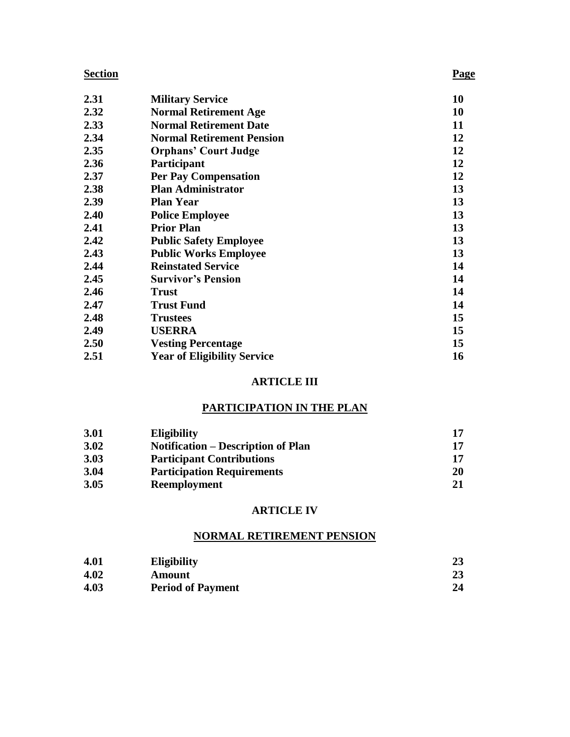| 2.31 | <b>Military Service</b>            | 10 |
|------|------------------------------------|----|
| 2.32 | <b>Normal Retirement Age</b>       | 10 |
| 2.33 | <b>Normal Retirement Date</b>      | 11 |
| 2.34 | <b>Normal Retirement Pension</b>   | 12 |
| 2.35 | <b>Orphans' Court Judge</b>        | 12 |
| 2.36 | Participant                        | 12 |
| 2.37 | <b>Per Pay Compensation</b>        | 12 |
| 2.38 | <b>Plan Administrator</b>          | 13 |
| 2.39 | <b>Plan Year</b>                   | 13 |
| 2.40 | <b>Police Employee</b>             | 13 |
| 2.41 | <b>Prior Plan</b>                  | 13 |
| 2.42 | <b>Public Safety Employee</b>      | 13 |
| 2.43 | <b>Public Works Employee</b>       | 13 |
| 2.44 | <b>Reinstated Service</b>          | 14 |
| 2.45 | <b>Survivor's Pension</b>          | 14 |
| 2.46 | <b>Trust</b>                       | 14 |
| 2.47 | <b>Trust Fund</b>                  | 14 |
| 2.48 | <b>Trustees</b>                    | 15 |
| 2.49 | <b>USERRA</b>                      | 15 |
| 2.50 | <b>Vesting Percentage</b>          | 15 |
| 2.51 | <b>Year of Eligibility Service</b> | 16 |

## **ARTICLE III**

## **PARTICIPATION IN THE PLAN**

| 3.01 | <b>Eligibility</b>                        |           |
|------|-------------------------------------------|-----------|
| 3.02 | <b>Notification – Description of Plan</b> | 17        |
| 3.03 | <b>Participant Contributions</b>          |           |
| 3.04 | <b>Participation Requirements</b>         | <b>20</b> |
| 3.05 | Reemployment                              |           |

## **ARTICLE IV**

## **NORMAL RETIREMENT PENSION**

| 4.01 | <b>Eligibility</b>       | 23 |
|------|--------------------------|----|
| 4.02 | Amount                   | 23 |
| 4.03 | <b>Period of Payment</b> | 24 |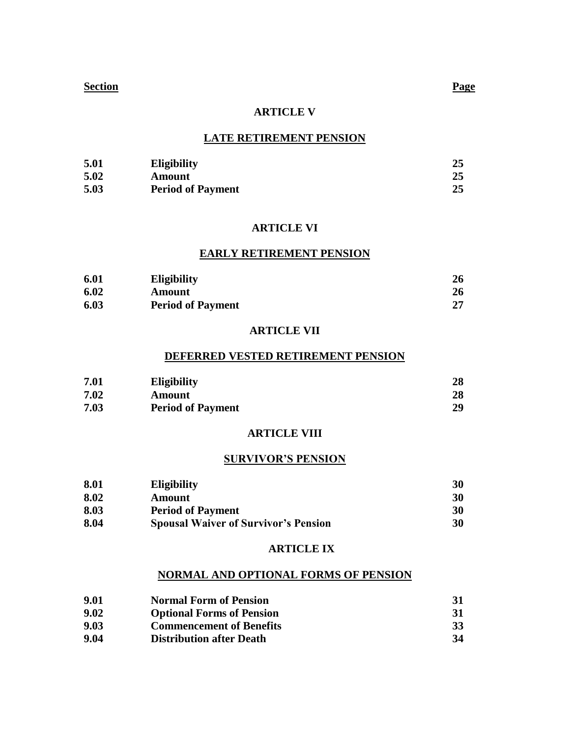## **ARTICLE V**

## **LATE RETIREMENT PENSION**

| 5.01 | <b>Eligibility</b>       | 25 |
|------|--------------------------|----|
| 5.02 | Amount                   |    |
| 5.03 | <b>Period of Payment</b> | 25 |

## **ARTICLE VI**

## **EARLY RETIREMENT PENSION**

| 6.01 | <b>Eligibility</b>       | 26 |
|------|--------------------------|----|
| 6.02 | Amount                   | 26 |
| 6.03 | <b>Period of Payment</b> | 27 |

## **ARTICLE VII**

## **DEFERRED VESTED RETIREMENT PENSION**

| 7.01 | <b>Eligibility</b>       | 28 |
|------|--------------------------|----|
| 7.02 | Amount                   | 28 |
| 7.03 | <b>Period of Payment</b> | 29 |

## **ARTICLE VIII**

## **SURVIVOR'S PENSION**

| 8.01 | <b>Eligibility</b>                          | 30 |
|------|---------------------------------------------|----|
| 8.02 | <b>Amount</b>                               | 30 |
| 8.03 | <b>Period of Payment</b>                    | 30 |
| 8.04 | <b>Spousal Waiver of Survivor's Pension</b> | 30 |

## **ARTICLE IX**

## **NORMAL AND OPTIONAL FORMS OF PENSION**

| 9.01 | <b>Normal Form of Pension</b>    | 31        |
|------|----------------------------------|-----------|
| 9.02 | <b>Optional Forms of Pension</b> | 31        |
| 9.03 | <b>Commencement of Benefits</b>  | <b>33</b> |
| 9.04 | <b>Distribution after Death</b>  | 34        |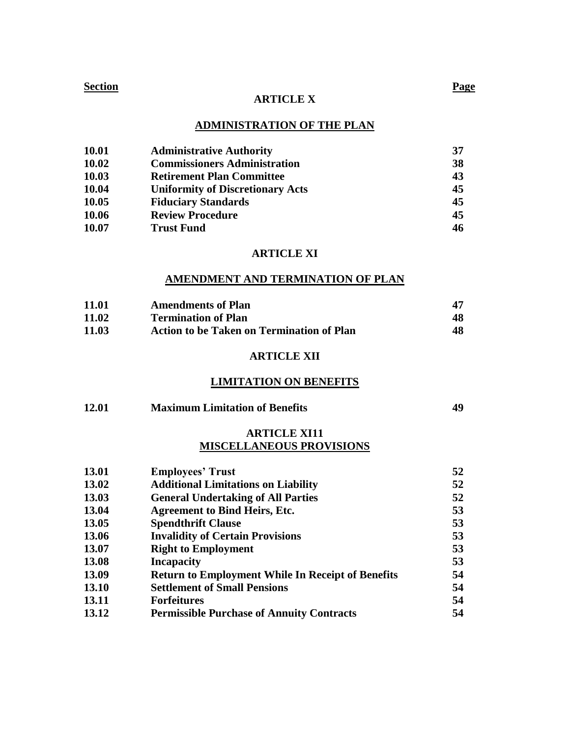## **ARTICLE X**

## **ADMINISTRATION OF THE PLAN**

| 10.01 | <b>Administrative Authority</b>         | 37 |
|-------|-----------------------------------------|----|
| 10.02 | <b>Commissioners Administration</b>     | 38 |
| 10.03 | <b>Retirement Plan Committee</b>        | 43 |
| 10.04 | <b>Uniformity of Discretionary Acts</b> | 45 |
| 10.05 | <b>Fiduciary Standards</b>              | 45 |
| 10.06 | <b>Review Procedure</b>                 | 45 |
| 10.07 | <b>Trust Fund</b>                       | 46 |

## **ARTICLE XI**

## **AMENDMENT AND TERMINATION OF PLAN**

| 11.01 | <b>Amendments of Plan</b>                        |    |
|-------|--------------------------------------------------|----|
| 11.02 | <b>Termination of Plan</b>                       | 48 |
| 11.03 | <b>Action to be Taken on Termination of Plan</b> | 48 |

## **ARTICLE XII**

## **LIMITATION ON BENEFITS**

| 12.01 | <b>Maximum Limitation of Benefits</b> | 49 |
|-------|---------------------------------------|----|
|       |                                       |    |

## **ARTICLE XI11 MISCELLANEOUS PROVISIONS**

| 13.01 | <b>Employees' Trust</b>                                  | 52 |
|-------|----------------------------------------------------------|----|
| 13.02 | <b>Additional Limitations on Liability</b>               | 52 |
| 13.03 | <b>General Undertaking of All Parties</b>                | 52 |
| 13.04 | <b>Agreement to Bind Heirs, Etc.</b>                     | 53 |
| 13.05 | <b>Spendthrift Clause</b>                                | 53 |
| 13.06 | <b>Invalidity of Certain Provisions</b>                  | 53 |
| 13.07 | <b>Right to Employment</b>                               | 53 |
| 13.08 | <b>Incapacity</b>                                        | 53 |
| 13.09 | <b>Return to Employment While In Receipt of Benefits</b> | 54 |
| 13.10 | <b>Settlement of Small Pensions</b>                      | 54 |
| 13.11 | <b>Forfeitures</b>                                       | 54 |
| 13.12 | <b>Permissible Purchase of Annuity Contracts</b>         | 54 |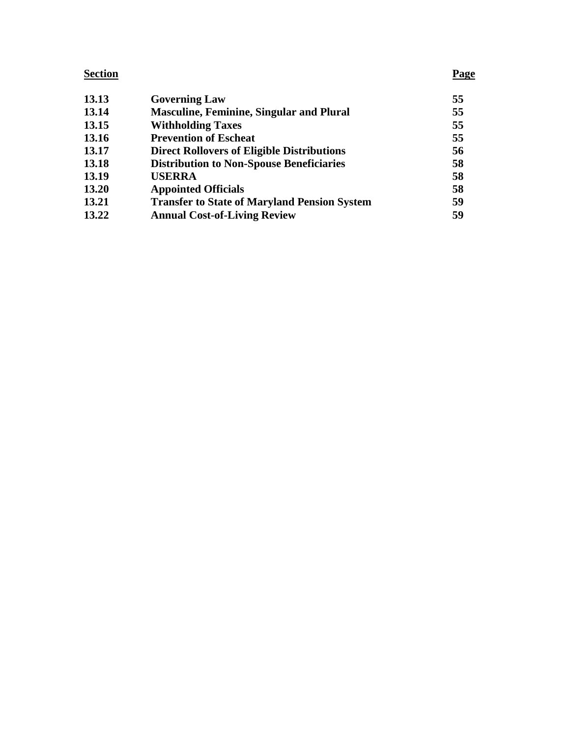| 13.13 | <b>Governing Law</b>                                | 55 |
|-------|-----------------------------------------------------|----|
| 13.14 | <b>Masculine, Feminine, Singular and Plural</b>     | 55 |
| 13.15 | <b>Withholding Taxes</b>                            | 55 |
| 13.16 | <b>Prevention of Escheat</b>                        | 55 |
| 13.17 | <b>Direct Rollovers of Eligible Distributions</b>   | 56 |
| 13.18 | <b>Distribution to Non-Spouse Beneficiaries</b>     | 58 |
| 13.19 | <b>USERRA</b>                                       | 58 |
| 13.20 | <b>Appointed Officials</b>                          | 58 |
| 13.21 | <b>Transfer to State of Maryland Pension System</b> | 59 |
| 13.22 | <b>Annual Cost-of-Living Review</b>                 | 59 |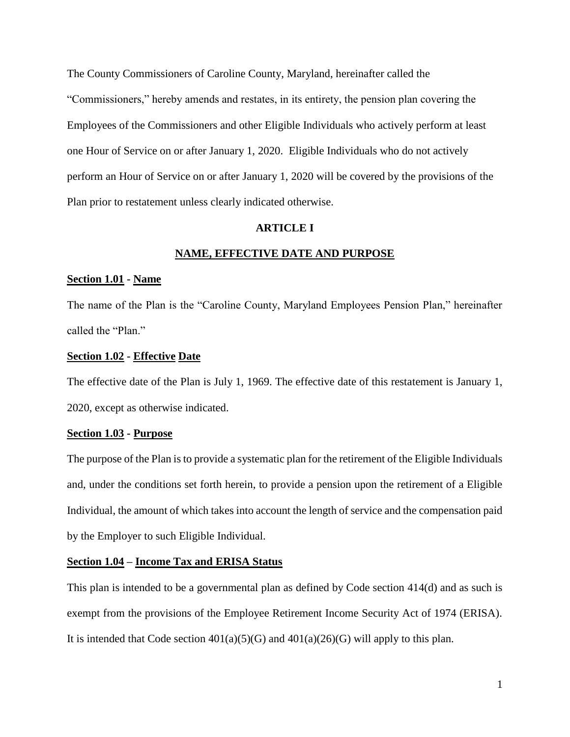The County Commissioners of Caroline County, Maryland, hereinafter called the "Commissioners," hereby amends and restates, in its entirety, the pension plan covering the Employees of the Commissioners and other Eligible Individuals who actively perform at least one Hour of Service on or after January 1, 2020. Eligible Individuals who do not actively perform an Hour of Service on or after January 1, 2020 will be covered by the provisions of the Plan prior to restatement unless clearly indicated otherwise.

## **ARTICLE I**

## **NAME, EFFECTIVE DATE AND PURPOSE**

#### **Section 1.01 - Name**

The name of the Plan is the "Caroline County, Maryland Employees Pension Plan," hereinafter called the "Plan."

#### **Section 1.02 - Effective Date**

The effective date of the Plan is July 1, 1969. The effective date of this restatement is January 1, 2020, except as otherwise indicated.

#### **Section 1.03 - Purpose**

The purpose of the Plan is to provide a systematic plan for the retirement of the Eligible Individuals and, under the conditions set forth herein, to provide a pension upon the retirement of a Eligible Individual, the amount of which takes into account the length of service and the compensation paid by the Employer to such Eligible Individual.

#### **Section 1.04 – Income Tax and ERISA Status**

This plan is intended to be a governmental plan as defined by Code section 414(d) and as such is exempt from the provisions of the Employee Retirement Income Security Act of 1974 (ERISA). It is intended that Code section  $401(a)(5)(G)$  and  $401(a)(26)(G)$  will apply to this plan.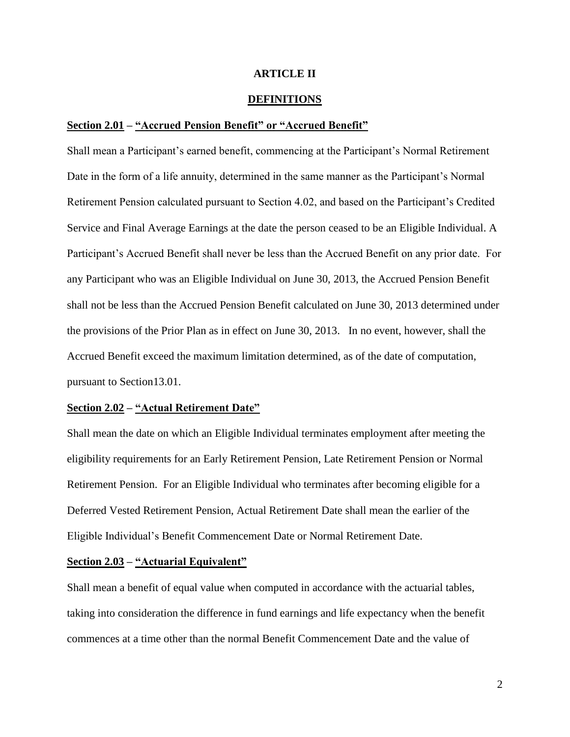## **ARTICLE II**

## **DEFINITIONS**

## **Section 2.01 – "Accrued Pension Benefit" or "Accrued Benefit"**

Shall mean a Participant's earned benefit, commencing at the Participant's Normal Retirement Date in the form of a life annuity, determined in the same manner as the Participant's Normal Retirement Pension calculated pursuant to Section 4.02, and based on the Participant's Credited Service and Final Average Earnings at the date the person ceased to be an Eligible Individual. A Participant's Accrued Benefit shall never be less than the Accrued Benefit on any prior date. For any Participant who was an Eligible Individual on June 30, 2013, the Accrued Pension Benefit shall not be less than the Accrued Pension Benefit calculated on June 30, 2013 determined under the provisions of the Prior Plan as in effect on June 30, 2013. In no event, however, shall the Accrued Benefit exceed the maximum limitation determined, as of the date of computation, pursuant to Section13.01.

#### **Section 2.02 – "Actual Retirement Date"**

Shall mean the date on which an Eligible Individual terminates employment after meeting the eligibility requirements for an Early Retirement Pension, Late Retirement Pension or Normal Retirement Pension. For an Eligible Individual who terminates after becoming eligible for a Deferred Vested Retirement Pension, Actual Retirement Date shall mean the earlier of the Eligible Individual's Benefit Commencement Date or Normal Retirement Date.

#### **Section 2.03 – "Actuarial Equivalent"**

Shall mean a benefit of equal value when computed in accordance with the actuarial tables, taking into consideration the difference in fund earnings and life expectancy when the benefit commences at a time other than the normal Benefit Commencement Date and the value of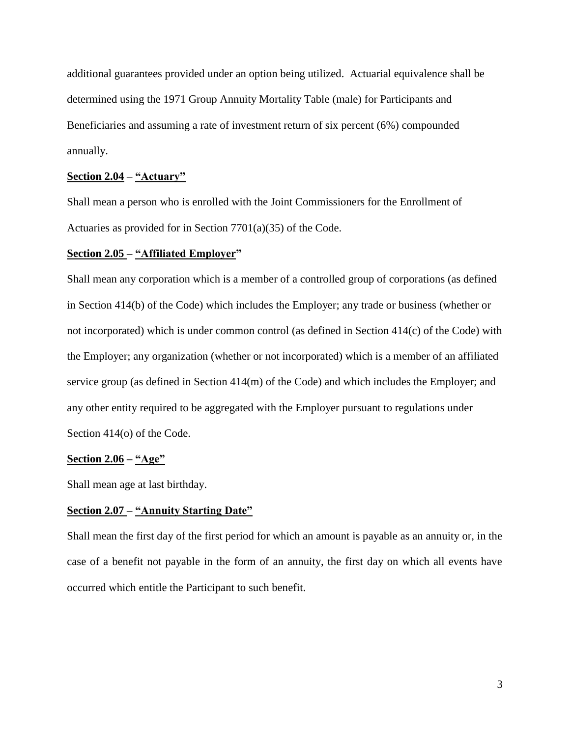additional guarantees provided under an option being utilized. Actuarial equivalence shall be determined using the 1971 Group Annuity Mortality Table (male) for Participants and Beneficiaries and assuming a rate of investment return of six percent (6%) compounded annually.

## **Section 2.04 – "Actuary"**

Shall mean a person who is enrolled with the Joint Commissioners for the Enrollment of Actuaries as provided for in Section 7701(a)(35) of the Code.

## **Section 2.05 – "Affiliated Employer"**

Shall mean any corporation which is a member of a controlled group of corporations (as defined in Section 414(b) of the Code) which includes the Employer; any trade or business (whether or not incorporated) which is under common control (as defined in Section 414(c) of the Code) with the Employer; any organization (whether or not incorporated) which is a member of an affiliated service group (as defined in Section 414(m) of the Code) and which includes the Employer; and any other entity required to be aggregated with the Employer pursuant to regulations under Section 414(o) of the Code.

## **Section 2.06 – "Age"**

Shall mean age at last birthday.

## **Section 2.07 – "Annuity Starting Date"**

Shall mean the first day of the first period for which an amount is payable as an annuity or, in the case of a benefit not payable in the form of an annuity, the first day on which all events have occurred which entitle the Participant to such benefit.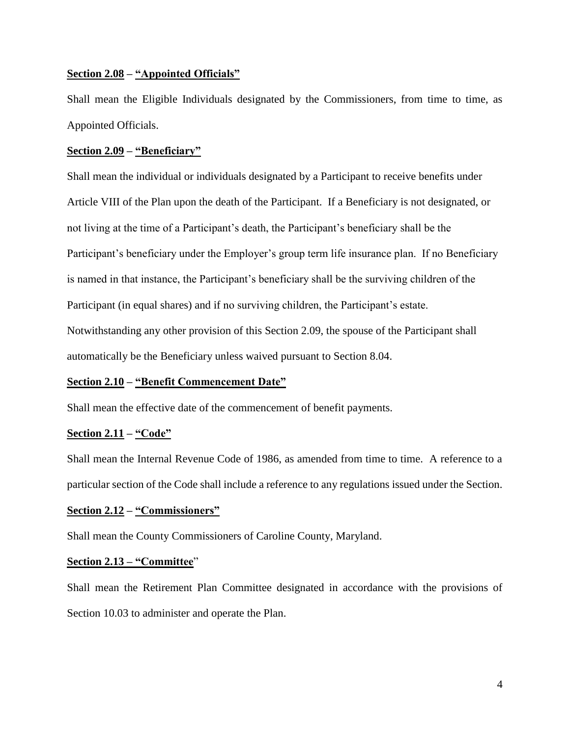## **Section 2.08 – "Appointed Officials"**

Shall mean the Eligible Individuals designated by the Commissioners, from time to time, as Appointed Officials.

## **Section 2.09 – "Beneficiary"**

Shall mean the individual or individuals designated by a Participant to receive benefits under Article VIII of the Plan upon the death of the Participant. If a Beneficiary is not designated, or not living at the time of a Participant's death, the Participant's beneficiary shall be the Participant's beneficiary under the Employer's group term life insurance plan. If no Beneficiary is named in that instance, the Participant's beneficiary shall be the surviving children of the Participant (in equal shares) and if no surviving children, the Participant's estate. Notwithstanding any other provision of this Section 2.09, the spouse of the Participant shall automatically be the Beneficiary unless waived pursuant to Section 8.04.

## **Section 2.10 – "Benefit Commencement Date"**

Shall mean the effective date of the commencement of benefit payments.

## **Section 2.11 – "Code"**

Shall mean the Internal Revenue Code of 1986, as amended from time to time. A reference to a particular section of the Code shall include a reference to any regulations issued under the Section.

## **Section 2.12 – "Commissioners"**

Shall mean the County Commissioners of Caroline County, Maryland.

## **Section 2.13 – "Committee**"

Shall mean the Retirement Plan Committee designated in accordance with the provisions of Section 10.03 to administer and operate the Plan.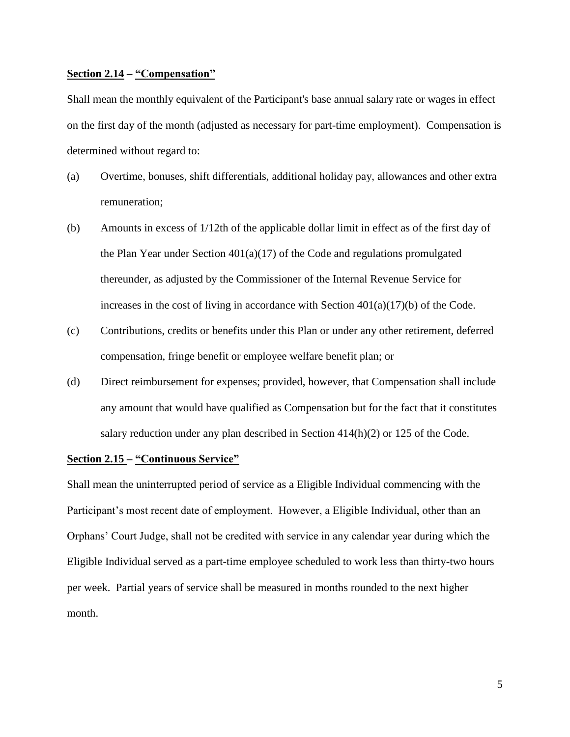#### **Section 2.14 – "Compensation"**

Shall mean the monthly equivalent of the Participant's base annual salary rate or wages in effect on the first day of the month (adjusted as necessary for part-time employment). Compensation is determined without regard to:

- (a) Overtime, bonuses, shift differentials, additional holiday pay, allowances and other extra remuneration;
- (b) Amounts in excess of 1/12th of the applicable dollar limit in effect as of the first day of the Plan Year under Section 401(a)(17) of the Code and regulations promulgated thereunder, as adjusted by the Commissioner of the Internal Revenue Service for increases in the cost of living in accordance with Section  $401(a)(17)(b)$  of the Code.
- (c) Contributions, credits or benefits under this Plan or under any other retirement, deferred compensation, fringe benefit or employee welfare benefit plan; or
- (d) Direct reimbursement for expenses; provided, however, that Compensation shall include any amount that would have qualified as Compensation but for the fact that it constitutes salary reduction under any plan described in Section 414(h)(2) or 125 of the Code.

## **Section 2.15 – "Continuous Service"**

Shall mean the uninterrupted period of service as a Eligible Individual commencing with the Participant's most recent date of employment. However, a Eligible Individual, other than an Orphans' Court Judge, shall not be credited with service in any calendar year during which the Eligible Individual served as a part-time employee scheduled to work less than thirty-two hours per week. Partial years of service shall be measured in months rounded to the next higher month.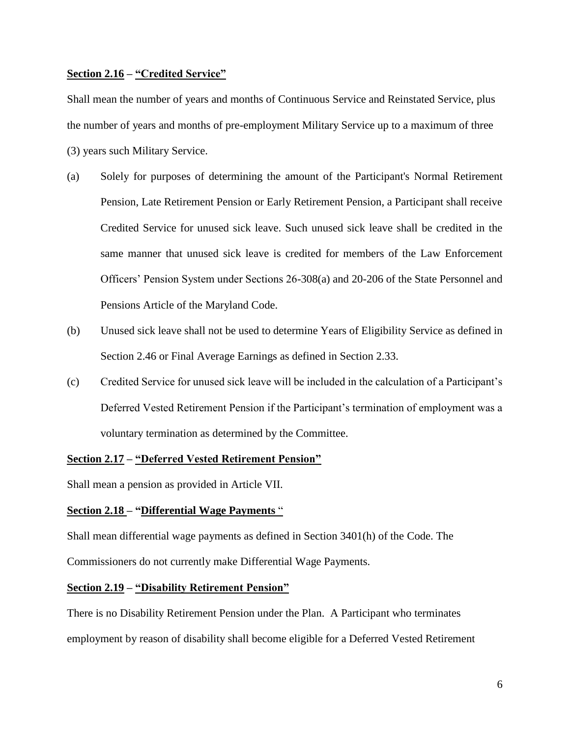## **Section 2.16 – "Credited Service"**

Shall mean the number of years and months of Continuous Service and Reinstated Service, plus the number of years and months of pre-employment Military Service up to a maximum of three (3) years such Military Service.

- (a) Solely for purposes of determining the amount of the Participant's Normal Retirement Pension, Late Retirement Pension or Early Retirement Pension, a Participant shall receive Credited Service for unused sick leave. Such unused sick leave shall be credited in the same manner that unused sick leave is credited for members of the Law Enforcement Officers' Pension System under Sections 26-308(a) and 20-206 of the State Personnel and Pensions Article of the Maryland Code.
- (b) Unused sick leave shall not be used to determine Years of Eligibility Service as defined in Section 2.46 or Final Average Earnings as defined in Section 2.33.
- (c) Credited Service for unused sick leave will be included in the calculation of a Participant's Deferred Vested Retirement Pension if the Participant's termination of employment was a voluntary termination as determined by the Committee.

## **Section 2.17 – "Deferred Vested Retirement Pension"**

Shall mean a pension as provided in Article VII.

## **Section 2.18 – "Differential Wage Payments** "

Shall mean differential wage payments as defined in Section 3401(h) of the Code. The Commissioners do not currently make Differential Wage Payments.

## **Section 2.19 – "Disability Retirement Pension"**

There is no Disability Retirement Pension under the Plan. A Participant who terminates employment by reason of disability shall become eligible for a Deferred Vested Retirement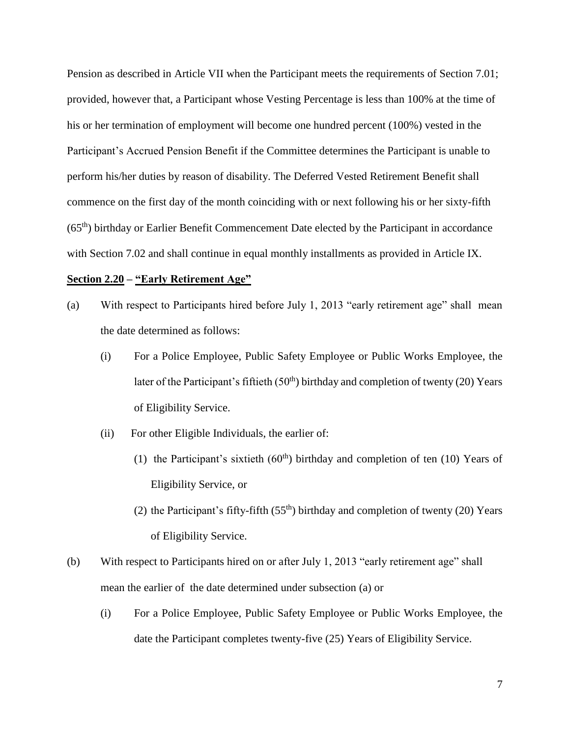Pension as described in Article VII when the Participant meets the requirements of Section 7.01; provided, however that, a Participant whose Vesting Percentage is less than 100% at the time of his or her termination of employment will become one hundred percent (100%) vested in the Participant's Accrued Pension Benefit if the Committee determines the Participant is unable to perform his/her duties by reason of disability. The Deferred Vested Retirement Benefit shall commence on the first day of the month coinciding with or next following his or her sixty-fifth (65th) birthday or Earlier Benefit Commencement Date elected by the Participant in accordance with Section 7.02 and shall continue in equal monthly installments as provided in Article IX.

## **Section 2.20 – "Early Retirement Age"**

- (a) With respect to Participants hired before July 1, 2013 "early retirement age" shall mean the date determined as follows:
	- (i) For a Police Employee, Public Safety Employee or Public Works Employee, the later of the Participant's fiftieth  $(50<sup>th</sup>)$  birthday and completion of twenty (20) Years of Eligibility Service.
	- (ii) For other Eligible Individuals, the earlier of:
		- (1) the Participant's sixtieth  $(60<sup>th</sup>)$  birthday and completion of ten (10) Years of Eligibility Service, or
		- (2) the Participant's fifty-fifth  $(55<sup>th</sup>)$  birthday and completion of twenty (20) Years of Eligibility Service.
- (b) With respect to Participants hired on or after July 1, 2013 "early retirement age" shall mean the earlier of the date determined under subsection (a) or
	- (i) For a Police Employee, Public Safety Employee or Public Works Employee, the date the Participant completes twenty-five (25) Years of Eligibility Service.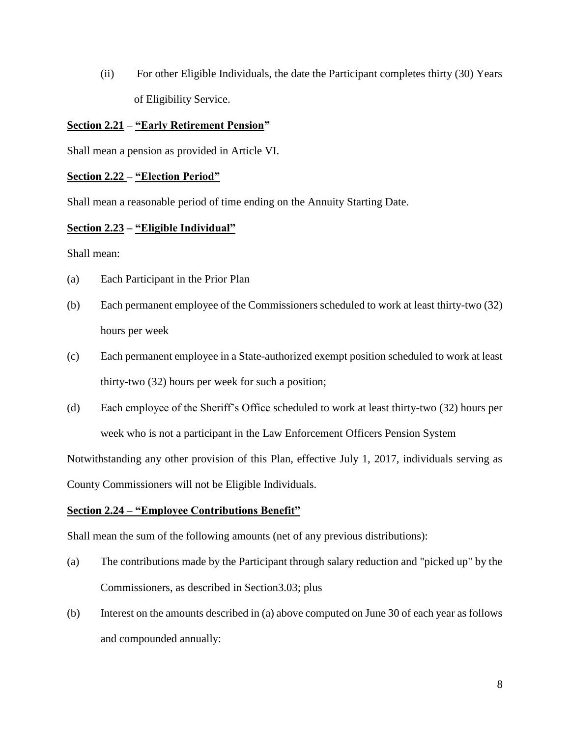(ii) For other Eligible Individuals, the date the Participant completes thirty (30) Years of Eligibility Service.

## **Section 2.21 – "Early Retirement Pension"**

Shall mean a pension as provided in Article VI.

## **Section 2.22 – "Election Period"**

Shall mean a reasonable period of time ending on the Annuity Starting Date.

## **Section 2.23 – "Eligible Individual"**

Shall mean:

- (a) Each Participant in the Prior Plan
- (b) Each permanent employee of the Commissioners scheduled to work at least thirty-two (32) hours per week
- (c) Each permanent employee in a State-authorized exempt position scheduled to work at least thirty-two (32) hours per week for such a position;
- (d) Each employee of the Sheriff's Office scheduled to work at least thirty-two (32) hours per week who is not a participant in the Law Enforcement Officers Pension System

Notwithstanding any other provision of this Plan, effective July 1, 2017, individuals serving as

County Commissioners will not be Eligible Individuals.

## **Section 2.24 – "Employee Contributions Benefit"**

Shall mean the sum of the following amounts (net of any previous distributions):

- (a) The contributions made by the Participant through salary reduction and "picked up" by the Commissioners, as described in Section3.03; plus
- (b) Interest on the amounts described in (a) above computed on June 30 of each year as follows and compounded annually: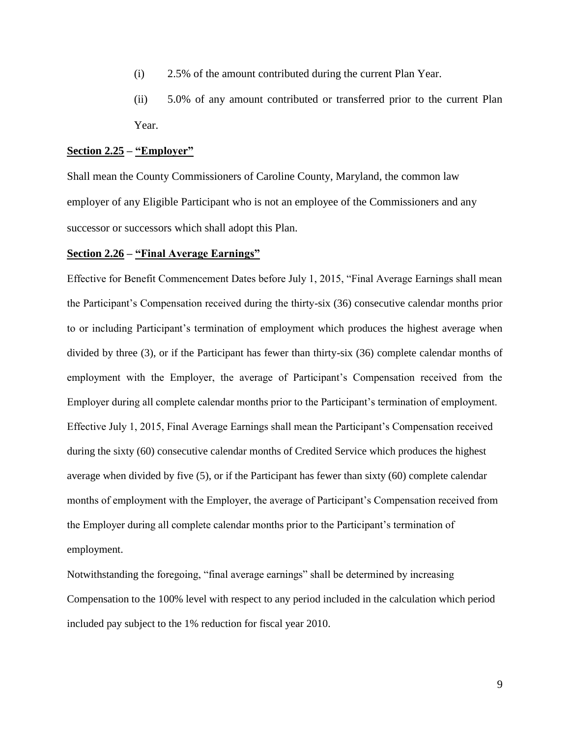- (i) 2.5% of the amount contributed during the current Plan Year.
- (ii) 5.0% of any amount contributed or transferred prior to the current Plan Year.

#### **Section 2.25 – "Employer"**

Shall mean the County Commissioners of Caroline County, Maryland, the common law employer of any Eligible Participant who is not an employee of the Commissioners and any successor or successors which shall adopt this Plan.

#### **Section 2.26 – "Final Average Earnings"**

Effective for Benefit Commencement Dates before July 1, 2015, "Final Average Earnings shall mean the Participant's Compensation received during the thirty-six (36) consecutive calendar months prior to or including Participant's termination of employment which produces the highest average when divided by three (3), or if the Participant has fewer than thirty-six (36) complete calendar months of employment with the Employer, the average of Participant's Compensation received from the Employer during all complete calendar months prior to the Participant's termination of employment. Effective July 1, 2015, Final Average Earnings shall mean the Participant's Compensation received during the sixty (60) consecutive calendar months of Credited Service which produces the highest average when divided by five (5), or if the Participant has fewer than sixty (60) complete calendar months of employment with the Employer, the average of Participant's Compensation received from the Employer during all complete calendar months prior to the Participant's termination of employment.

Notwithstanding the foregoing, "final average earnings" shall be determined by increasing Compensation to the 100% level with respect to any period included in the calculation which period included pay subject to the 1% reduction for fiscal year 2010.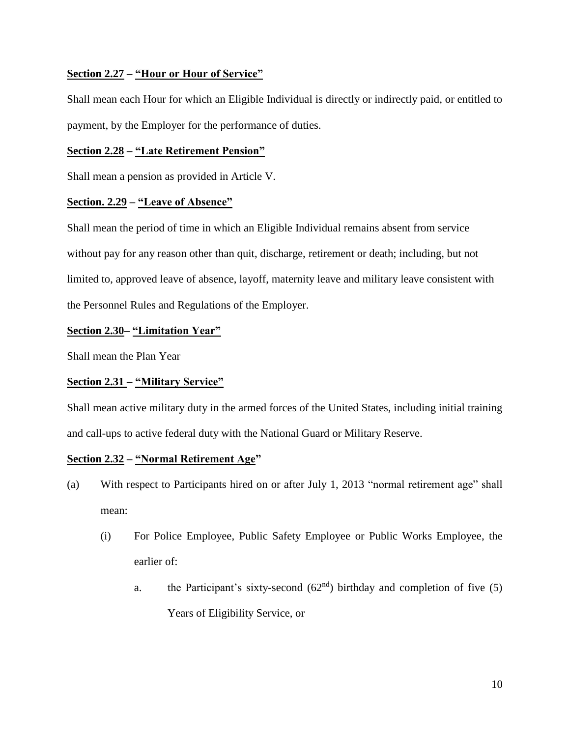## **Section 2.27 – "Hour or Hour of Service"**

Shall mean each Hour for which an Eligible Individual is directly or indirectly paid, or entitled to payment, by the Employer for the performance of duties.

## **Section 2.28 – "Late Retirement Pension"**

Shall mean a pension as provided in Article V.

## **Section. 2.29 – "Leave of Absence"**

Shall mean the period of time in which an Eligible Individual remains absent from service without pay for any reason other than quit, discharge, retirement or death; including, but not limited to, approved leave of absence, layoff, maternity leave and military leave consistent with the Personnel Rules and Regulations of the Employer.

## **Section 2.30– "Limitation Year"**

Shall mean the Plan Year

## **Section 2.31 – "Military Service"**

Shall mean active military duty in the armed forces of the United States, including initial training and call-ups to active federal duty with the National Guard or Military Reserve.

## **Section 2.32 – "Normal Retirement Age"**

- (a) With respect to Participants hired on or after July 1, 2013 "normal retirement age" shall mean:
	- (i) For Police Employee, Public Safety Employee or Public Works Employee, the earlier of:
		- a. the Participant's sixty-second  $(62<sup>nd</sup>)$  birthday and completion of five (5) Years of Eligibility Service, or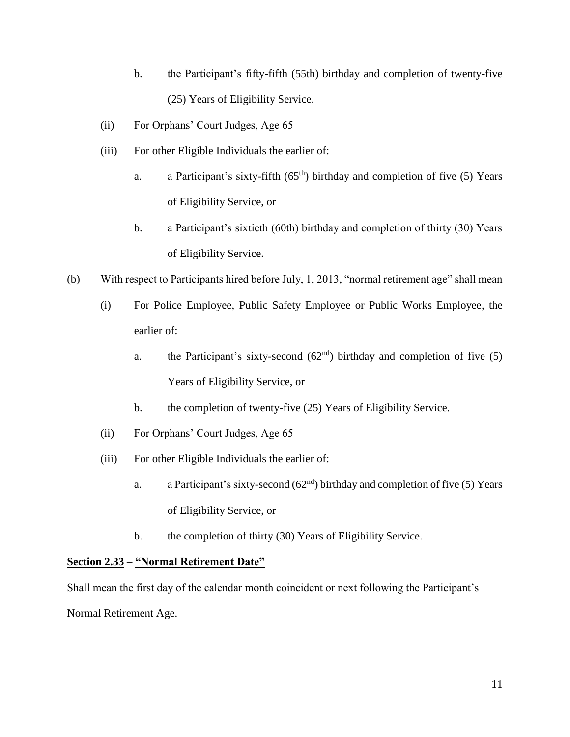- b. the Participant's fifty-fifth (55th) birthday and completion of twenty-five (25) Years of Eligibility Service.
- (ii) For Orphans' Court Judges, Age 65
- (iii) For other Eligible Individuals the earlier of:
	- a. a Participant's sixty-fifth (65<sup>th</sup>) birthday and completion of five (5) Years of Eligibility Service, or
	- b. a Participant's sixtieth (60th) birthday and completion of thirty (30) Years of Eligibility Service.
- (b) With respect to Participants hired before July, 1, 2013, "normal retirement age" shall mean
	- (i) For Police Employee, Public Safety Employee or Public Works Employee, the earlier of:
		- a. the Participant's sixty-second  $(62<sup>nd</sup>)$  birthday and completion of five (5) Years of Eligibility Service, or
		- b. the completion of twenty-five (25) Years of Eligibility Service.
	- (ii) For Orphans' Court Judges, Age 65
	- (iii) For other Eligible Individuals the earlier of:
		- a. a Participant's sixty-second  $(62<sup>nd</sup>)$  birthday and completion of five (5) Years of Eligibility Service, or
		- b. the completion of thirty (30) Years of Eligibility Service.

## **Section 2.33 – "Normal Retirement Date"**

Shall mean the first day of the calendar month coincident or next following the Participant's Normal Retirement Age.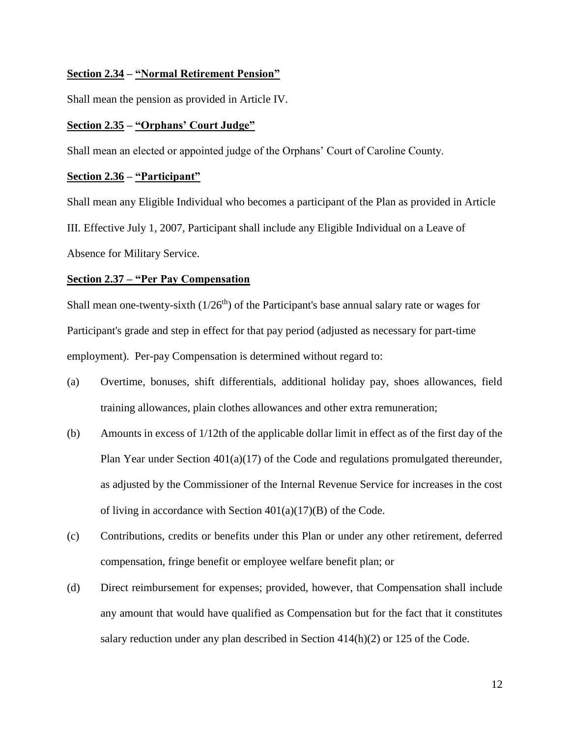## **Section 2.34 – "Normal Retirement Pension"**

Shall mean the pension as provided in Article IV.

## **Section 2.35 – "Orphans' Court Judge"**

Shall mean an elected or appointed judge of the Orphans' Court of Caroline County.

## **Section 2.36 – "Participant"**

Shall mean any Eligible Individual who becomes a participant of the Plan as provided in Article III. Effective July 1, 2007, Participant shall include any Eligible Individual on a Leave of Absence for Military Service.

## **Section 2.37 – "Per Pay Compensation**

Shall mean one-twenty-sixth  $(1/26<sup>th</sup>)$  of the Participant's base annual salary rate or wages for Participant's grade and step in effect for that pay period (adjusted as necessary for part-time employment). Per-pay Compensation is determined without regard to:

- (a) Overtime, bonuses, shift differentials, additional holiday pay, shoes allowances, field training allowances, plain clothes allowances and other extra remuneration;
- (b) Amounts in excess of 1/12th of the applicable dollar limit in effect as of the first day of the Plan Year under Section 401(a)(17) of the Code and regulations promulgated thereunder, as adjusted by the Commissioner of the Internal Revenue Service for increases in the cost of living in accordance with Section  $401(a)(17)(B)$  of the Code.
- (c) Contributions, credits or benefits under this Plan or under any other retirement, deferred compensation, fringe benefit or employee welfare benefit plan; or
- (d) Direct reimbursement for expenses; provided, however, that Compensation shall include any amount that would have qualified as Compensation but for the fact that it constitutes salary reduction under any plan described in Section 414(h)(2) or 125 of the Code.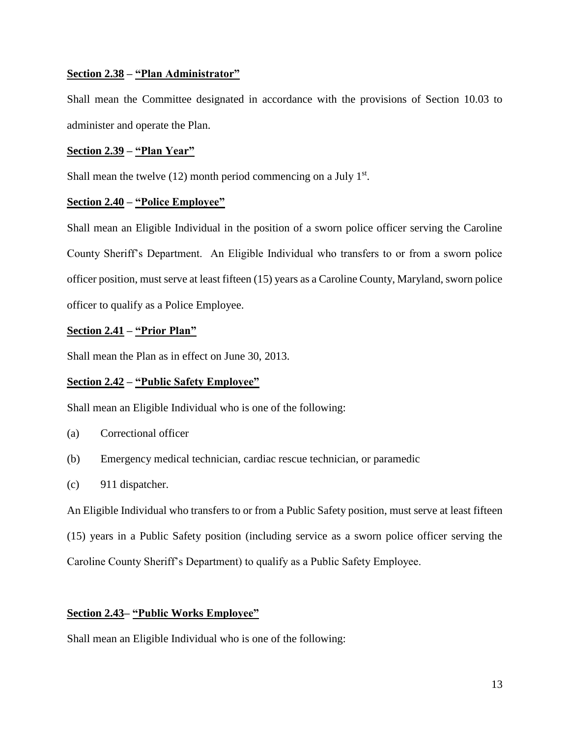## **Section 2.38 – "Plan Administrator"**

Shall mean the Committee designated in accordance with the provisions of Section 10.03 to administer and operate the Plan.

## **Section 2.39 – "Plan Year"**

Shall mean the twelve  $(12)$  month period commencing on a July  $1<sup>st</sup>$ .

## **Section 2.40 – "Police Employee"**

Shall mean an Eligible Individual in the position of a sworn police officer serving the Caroline County Sheriff's Department. An Eligible Individual who transfers to or from a sworn police officer position, must serve at least fifteen (15) years as a Caroline County, Maryland, sworn police officer to qualify as a Police Employee.

## **Section 2.41 – "Prior Plan"**

Shall mean the Plan as in effect on June 30, 2013.

## **Section 2.42 – "Public Safety Employee"**

Shall mean an Eligible Individual who is one of the following:

- (a) Correctional officer
- (b) Emergency medical technician, cardiac rescue technician, or paramedic
- (c) 911 dispatcher.

An Eligible Individual who transfers to or from a Public Safety position, must serve at least fifteen (15) years in a Public Safety position (including service as a sworn police officer serving the Caroline County Sheriff's Department) to qualify as a Public Safety Employee.

## **Section 2.43– "Public Works Employee"**

Shall mean an Eligible Individual who is one of the following: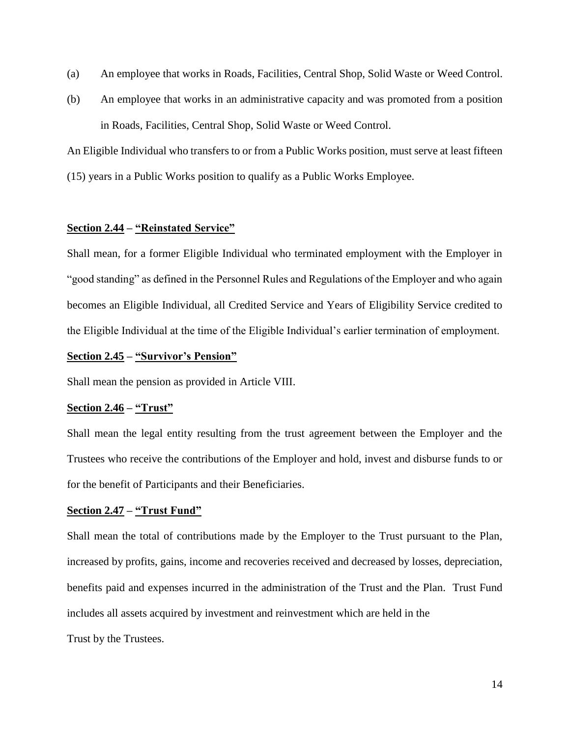- (a) An employee that works in Roads, Facilities, Central Shop, Solid Waste or Weed Control.
- (b) An employee that works in an administrative capacity and was promoted from a position in Roads, Facilities, Central Shop, Solid Waste or Weed Control.

An Eligible Individual who transfers to or from a Public Works position, must serve at least fifteen (15) years in a Public Works position to qualify as a Public Works Employee.

## **Section 2.44 – "Reinstated Service"**

Shall mean, for a former Eligible Individual who terminated employment with the Employer in "good standing" as defined in the Personnel Rules and Regulations of the Employer and who again becomes an Eligible Individual, all Credited Service and Years of Eligibility Service credited to the Eligible Individual at the time of the Eligible Individual's earlier termination of employment.

#### **Section 2.45 – "Survivor's Pension"**

Shall mean the pension as provided in Article VIII.

#### **Section 2.46 – "Trust"**

Shall mean the legal entity resulting from the trust agreement between the Employer and the Trustees who receive the contributions of the Employer and hold, invest and disburse funds to or for the benefit of Participants and their Beneficiaries.

## **Section 2.47 – "Trust Fund"**

Shall mean the total of contributions made by the Employer to the Trust pursuant to the Plan, increased by profits, gains, income and recoveries received and decreased by losses, depreciation, benefits paid and expenses incurred in the administration of the Trust and the Plan. Trust Fund includes all assets acquired by investment and reinvestment which are held in the

Trust by the Trustees.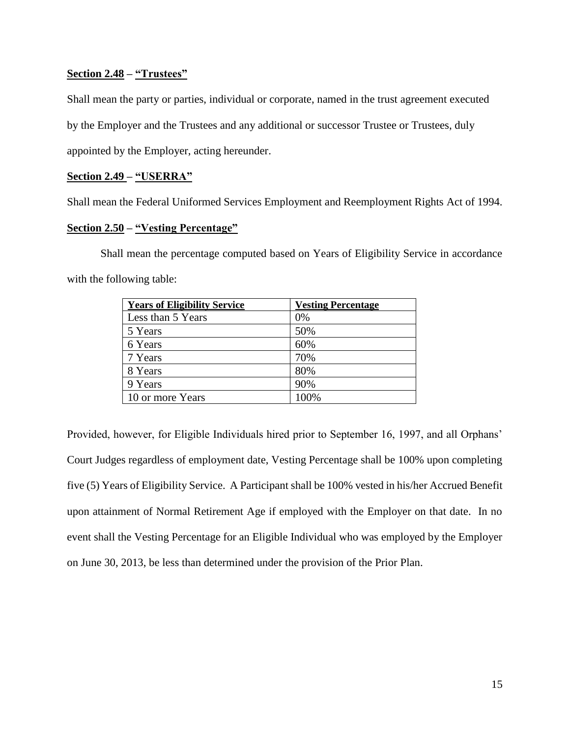## **Section 2.48 – "Trustees"**

Shall mean the party or parties, individual or corporate, named in the trust agreement executed by the Employer and the Trustees and any additional or successor Trustee or Trustees, duly appointed by the Employer, acting hereunder.

## **Section 2.49 – "USERRA"**

Shall mean the Federal Uniformed Services Employment and Reemployment Rights Act of 1994.

## **Section 2.50 – "Vesting Percentage"**

Shall mean the percentage computed based on Years of Eligibility Service in accordance with the following table:

| <b>Years of Eligibility Service</b> | <b>Vesting Percentage</b> |
|-------------------------------------|---------------------------|
| Less than 5 Years                   | 0%                        |
| 5 Years                             | 50%                       |
| 6 Years                             | 60%                       |
| 7 Years                             | 70%                       |
| 8 Years                             | 80%                       |
| 9 Years                             | 90%                       |
| 10 or more Years                    | 100%                      |

Provided, however, for Eligible Individuals hired prior to September 16, 1997, and all Orphans' Court Judges regardless of employment date, Vesting Percentage shall be 100% upon completing five (5) Years of Eligibility Service. A Participant shall be 100% vested in his/her Accrued Benefit upon attainment of Normal Retirement Age if employed with the Employer on that date. In no event shall the Vesting Percentage for an Eligible Individual who was employed by the Employer on June 30, 2013, be less than determined under the provision of the Prior Plan.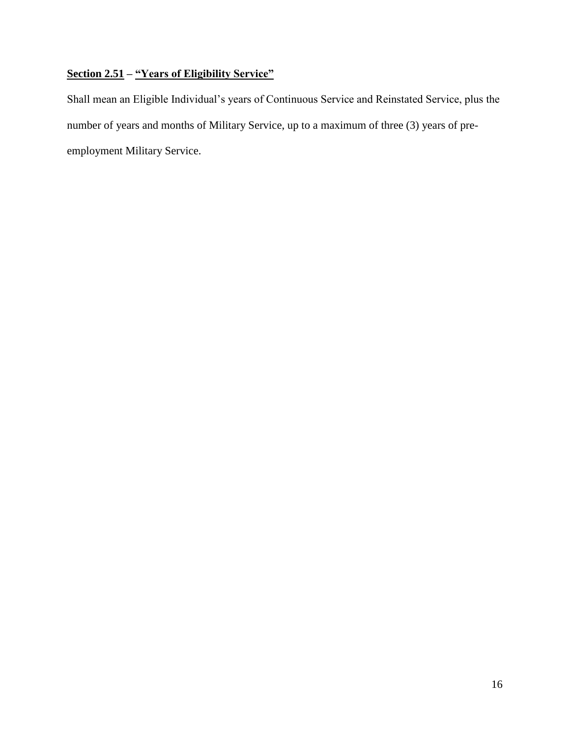## **Section 2.51 – "Years of Eligibility Service"**

Shall mean an Eligible Individual's years of Continuous Service and Reinstated Service, plus the number of years and months of Military Service, up to a maximum of three (3) years of preemployment Military Service.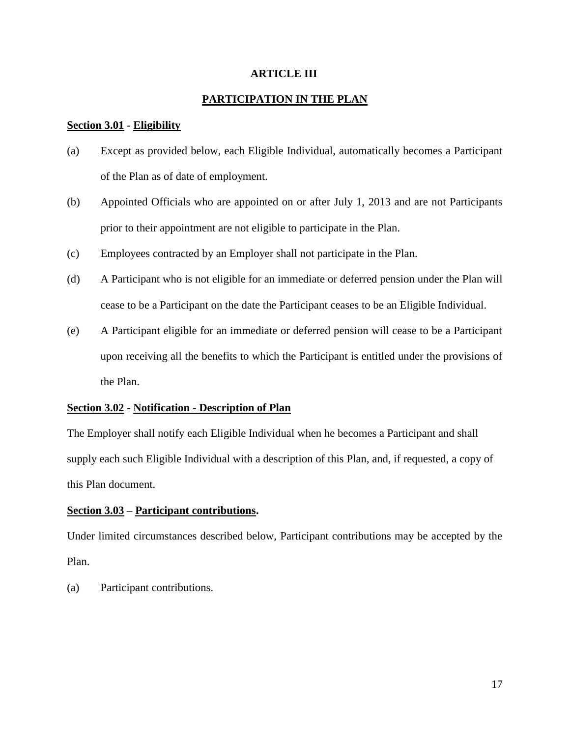## **ARTICLE III**

## **PARTICIPATION IN THE PLAN**

## **Section 3.01 - Eligibility**

- (a) Except as provided below, each Eligible Individual, automatically becomes a Participant of the Plan as of date of employment.
- (b) Appointed Officials who are appointed on or after July 1, 2013 and are not Participants prior to their appointment are not eligible to participate in the Plan.
- (c) Employees contracted by an Employer shall not participate in the Plan.
- (d) A Participant who is not eligible for an immediate or deferred pension under the Plan will cease to be a Participant on the date the Participant ceases to be an Eligible Individual.
- (e) A Participant eligible for an immediate or deferred pension will cease to be a Participant upon receiving all the benefits to which the Participant is entitled under the provisions of the Plan.

## **Section 3.02 - Notification - Description of Plan**

The Employer shall notify each Eligible Individual when he becomes a Participant and shall supply each such Eligible Individual with a description of this Plan, and, if requested, a copy of this Plan document.

## **Section 3.03 – Participant contributions.**

Under limited circumstances described below, Participant contributions may be accepted by the Plan.

(a) Participant contributions.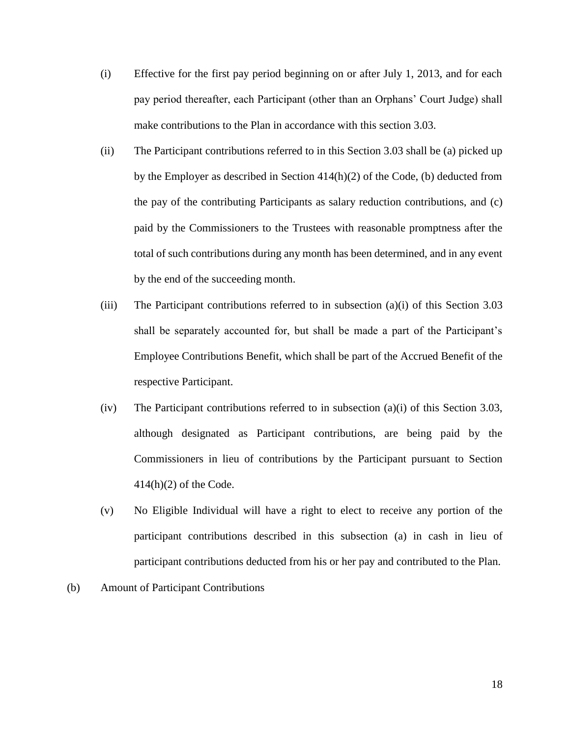- (i) Effective for the first pay period beginning on or after July 1, 2013, and for each pay period thereafter, each Participant (other than an Orphans' Court Judge) shall make contributions to the Plan in accordance with this section 3.03.
- (ii) The Participant contributions referred to in this Section 3.03 shall be (a) picked up by the Employer as described in Section  $414(h)(2)$  of the Code, (b) deducted from the pay of the contributing Participants as salary reduction contributions, and (c) paid by the Commissioners to the Trustees with reasonable promptness after the total of such contributions during any month has been determined, and in any event by the end of the succeeding month.
- (iii) The Participant contributions referred to in subsection (a)(i) of this Section 3.03 shall be separately accounted for, but shall be made a part of the Participant's Employee Contributions Benefit, which shall be part of the Accrued Benefit of the respective Participant.
- (iv) The Participant contributions referred to in subsection (a)(i) of this Section 3.03, although designated as Participant contributions, are being paid by the Commissioners in lieu of contributions by the Participant pursuant to Section  $414(h)(2)$  of the Code.
- (v) No Eligible Individual will have a right to elect to receive any portion of the participant contributions described in this subsection (a) in cash in lieu of participant contributions deducted from his or her pay and contributed to the Plan.
- (b) Amount of Participant Contributions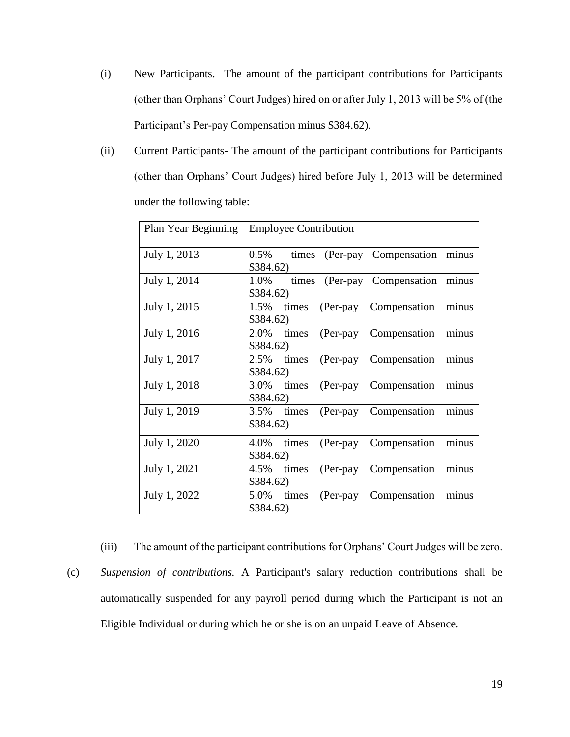- (i) New Participants. The amount of the participant contributions for Participants (other than Orphans' Court Judges) hired on or after July 1, 2013 will be 5% of (the Participant's Per-pay Compensation minus \$384.62).
- (ii) Current Participants- The amount of the participant contributions for Participants (other than Orphans' Court Judges) hired before July 1, 2013 will be determined under the following table:

| Plan Year Beginning | <b>Employee Contribution</b>                                       |
|---------------------|--------------------------------------------------------------------|
| July 1, 2013        | $0.5\%$<br>times (Per-pay Compensation<br>minus<br>\$384.62)       |
| July 1, 2014        | times (Per-pay Compensation minus<br>1.0%<br>\$384.62)             |
| July 1, 2015        | Compensation<br>minus<br>1.5%<br>(Per-pay<br>times<br>\$384.62)    |
| July 1, 2016        | minus<br>2.0%<br>Compensation<br>times<br>$(Per-pay)$<br>\$384.62) |
| July 1, 2017        | (Per-pay Compensation<br>2.5%<br>minus<br>times<br>\$384.62)       |
| July 1, 2018        | minus<br>Compensation<br>3.0%<br>times<br>$(Per-pay)$<br>\$384.62) |
| July 1, 2019        | Compensation<br>minus<br>$3.5\%$ times<br>$(Per-pay)$<br>\$384.62) |
| July 1, 2020        | minus<br>Compensation<br>4.0% times<br>$(Per-pay)$<br>\$384.62)    |
| July 1, 2021        | Compensation<br>minus<br>4.5%<br>times<br>$(Per-pay)$<br>\$384.62) |
| July 1, 2022        | Compensation<br>minus<br>5.0%<br>times<br>(Per-pay)<br>\$384.62)   |

(iii) The amount of the participant contributions for Orphans' Court Judges will be zero. (c) *Suspension of contributions.* A Participant's salary reduction contributions shall be automatically suspended for any payroll period during which the Participant is not an Eligible Individual or during which he or she is on an unpaid Leave of Absence.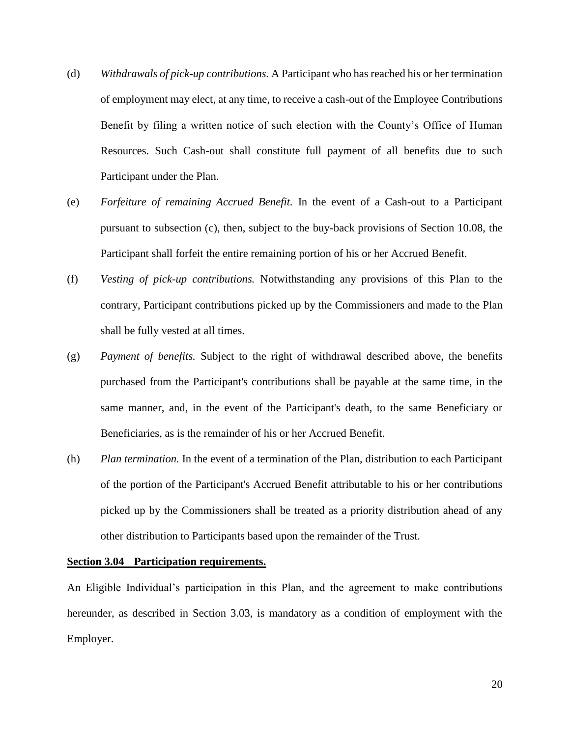- (d) *Withdrawals of pick-up contributions.* A Participant who has reached his or her termination of employment may elect, at any time, to receive a cash-out of the Employee Contributions Benefit by filing a written notice of such election with the County's Office of Human Resources. Such Cash-out shall constitute full payment of all benefits due to such Participant under the Plan.
- (e) *Forfeiture of remaining Accrued Benefit.* In the event of a Cash-out to a Participant pursuant to subsection (c), then, subject to the buy-back provisions of Section 10.08, the Participant shall forfeit the entire remaining portion of his or her Accrued Benefit.
- (f) *Vesting of pick-up contributions.* Notwithstanding any provisions of this Plan to the contrary, Participant contributions picked up by the Commissioners and made to the Plan shall be fully vested at all times.
- (g) *Payment of benefits.* Subject to the right of withdrawal described above, the benefits purchased from the Participant's contributions shall be payable at the same time, in the same manner, and, in the event of the Participant's death, to the same Beneficiary or Beneficiaries, as is the remainder of his or her Accrued Benefit.
- (h) *Plan termination.* In the event of a termination of the Plan, distribution to each Participant of the portion of the Participant's Accrued Benefit attributable to his or her contributions picked up by the Commissioners shall be treated as a priority distribution ahead of any other distribution to Participants based upon the remainder of the Trust.

#### **Section 3.04 Participation requirements.**

An Eligible Individual's participation in this Plan, and the agreement to make contributions hereunder, as described in Section 3.03, is mandatory as a condition of employment with the Employer.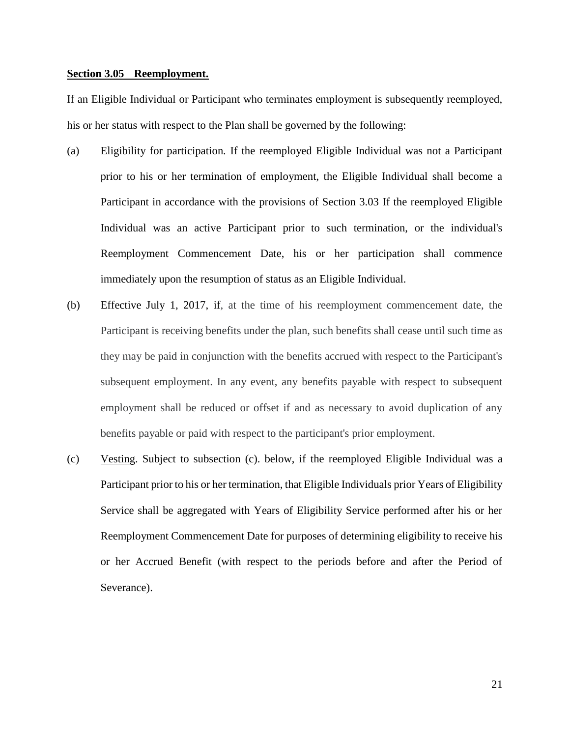## **Section 3.05 Reemployment.**

If an Eligible Individual or Participant who terminates employment is subsequently reemployed, his or her status with respect to the Plan shall be governed by the following:

- (a) Eligibility for participation*.* If the reemployed Eligible Individual was not a Participant prior to his or her termination of employment, the Eligible Individual shall become a Participant in accordance with the provisions of Section 3.03 If the reemployed Eligible Individual was an active Participant prior to such termination, or the individual's Reemployment Commencement Date, his or her participation shall commence immediately upon the resumption of status as an Eligible Individual.
- (b) Effective July 1, 2017, if, at the time of his reemployment commencement date, the Participant is receiving benefits under the plan, such benefits shall cease until such time as they may be paid in conjunction with the benefits accrued with respect to the Participant's subsequent employment. In any event, any benefits payable with respect to subsequent employment shall be reduced or offset if and as necessary to avoid duplication of any benefits payable or paid with respect to the participant's prior employment.
- (c) Vesting. Subject to subsection (c). below, if the reemployed Eligible Individual was a Participant prior to his or her termination, that Eligible Individuals prior Years of Eligibility Service shall be aggregated with Years of Eligibility Service performed after his or her Reemployment Commencement Date for purposes of determining eligibility to receive his or her Accrued Benefit (with respect to the periods before and after the Period of Severance).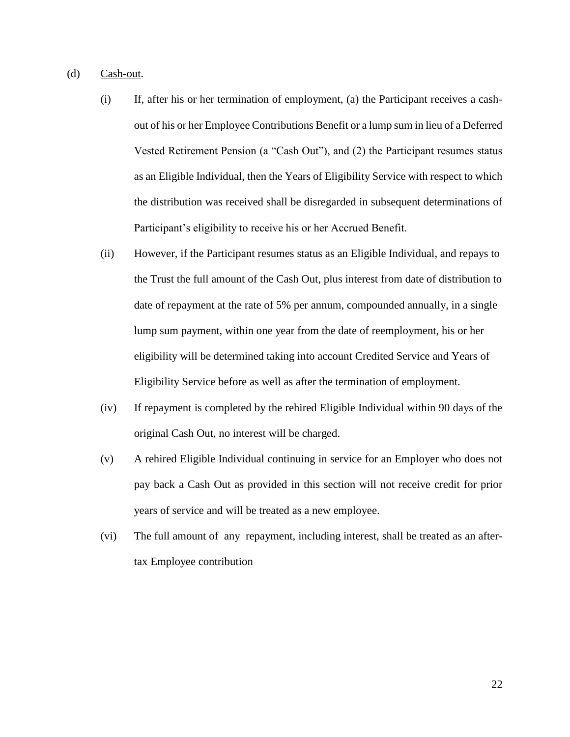- (d) Cash-out.
	- (i) If, after his or her termination of employment, (a) the Participant receives a cashout of his or her Employee Contributions Benefit or a lump sum in lieu of a Deferred Vested Retirement Pension (a "Cash Out"), and (2) the Participant resumes status as an Eligible Individual, then the Years of Eligibility Service with respect to which the distribution was received shall be disregarded in subsequent determinations of Participant's eligibility to receive his or her Accrued Benefit.
	- (ii) However, if the Participant resumes status as an Eligible Individual, and repays to the Trust the full amount of the Cash Out, plus interest from date of distribution to date of repayment at the rate of 5% per annum, compounded annually, in a single lump sum payment, within one year from the date of reemployment, his or her eligibility will be determined taking into account Credited Service and Years of Eligibility Service before as well as after the termination of employment.
	- (iv) If repayment is completed by the rehired Eligible Individual within 90 days of the original Cash Out, no interest will be charged.
	- (v) A rehired Eligible Individual continuing in service for an Employer who does not pay back a Cash Out as provided in this section will not receive credit for prior years of service and will be treated as a new employee.
	- (vi) The full amount of any repayment, including interest, shall be treated as an aftertax Employee contribution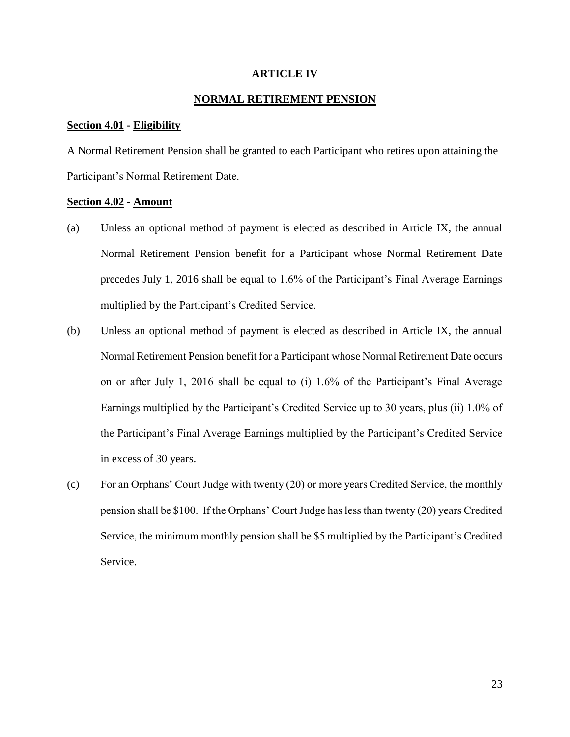## **ARTICLE IV**

## **NORMAL RETIREMENT PENSION**

#### **Section 4.01 - Eligibility**

A Normal Retirement Pension shall be granted to each Participant who retires upon attaining the Participant's Normal Retirement Date.

## **Section 4.02 - Amount**

- (a) Unless an optional method of payment is elected as described in Article IX, the annual Normal Retirement Pension benefit for a Participant whose Normal Retirement Date precedes July 1, 2016 shall be equal to 1.6% of the Participant's Final Average Earnings multiplied by the Participant's Credited Service.
- (b) Unless an optional method of payment is elected as described in Article IX, the annual Normal Retirement Pension benefit for a Participant whose Normal Retirement Date occurs on or after July 1, 2016 shall be equal to (i) 1.6% of the Participant's Final Average Earnings multiplied by the Participant's Credited Service up to 30 years, plus (ii) 1.0% of the Participant's Final Average Earnings multiplied by the Participant's Credited Service in excess of 30 years.
- (c) For an Orphans' Court Judge with twenty (20) or more years Credited Service, the monthly pension shall be \$100. If the Orphans' Court Judge has less than twenty (20) years Credited Service, the minimum monthly pension shall be \$5 multiplied by the Participant's Credited Service.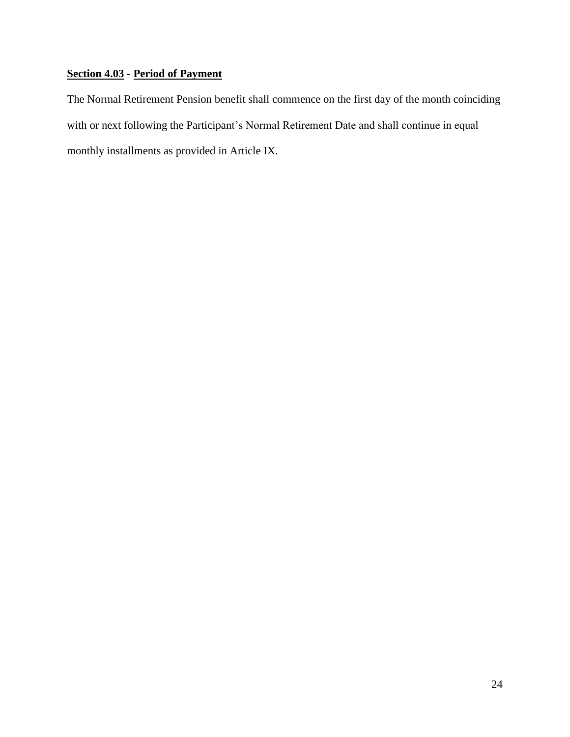## **Section 4.03 - Period of Payment**

The Normal Retirement Pension benefit shall commence on the first day of the month coinciding with or next following the Participant's Normal Retirement Date and shall continue in equal monthly installments as provided in Article IX.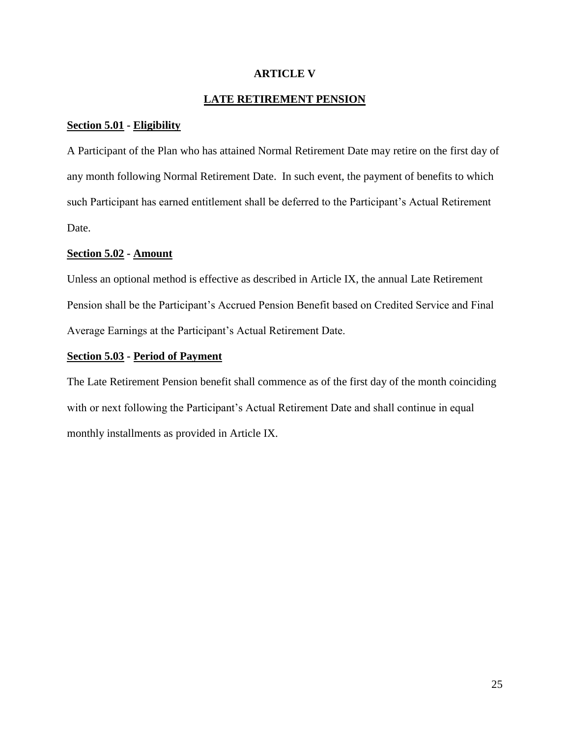## **ARTICLE V**

## **LATE RETIREMENT PENSION**

## **Section 5.01 - Eligibility**

A Participant of the Plan who has attained Normal Retirement Date may retire on the first day of any month following Normal Retirement Date. In such event, the payment of benefits to which such Participant has earned entitlement shall be deferred to the Participant's Actual Retirement Date.

## **Section 5.02 - Amount**

Unless an optional method is effective as described in Article IX, the annual Late Retirement Pension shall be the Participant's Accrued Pension Benefit based on Credited Service and Final Average Earnings at the Participant's Actual Retirement Date.

## **Section 5.03 - Period of Payment**

The Late Retirement Pension benefit shall commence as of the first day of the month coinciding with or next following the Participant's Actual Retirement Date and shall continue in equal monthly installments as provided in Article IX.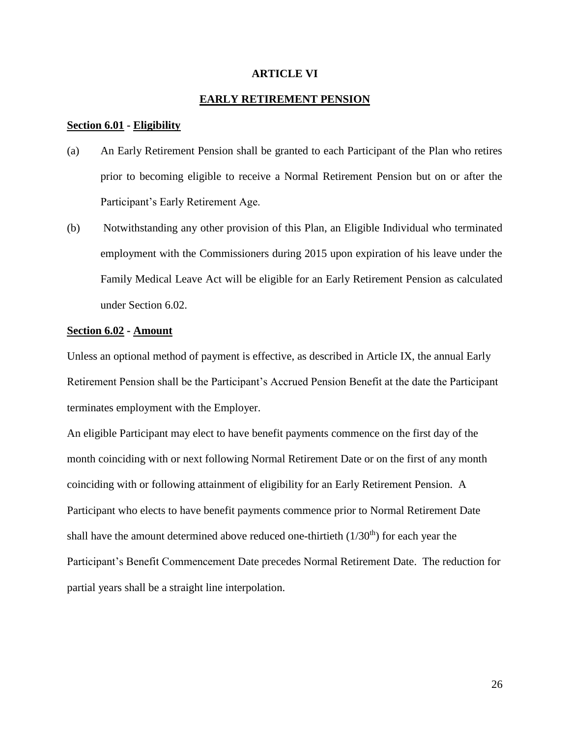#### **ARTICLE VI**

## **EARLY RETIREMENT PENSION**

#### **Section 6.01 - Eligibility**

- (a) An Early Retirement Pension shall be granted to each Participant of the Plan who retires prior to becoming eligible to receive a Normal Retirement Pension but on or after the Participant's Early Retirement Age.
- (b) Notwithstanding any other provision of this Plan, an Eligible Individual who terminated employment with the Commissioners during 2015 upon expiration of his leave under the Family Medical Leave Act will be eligible for an Early Retirement Pension as calculated under Section 6.02.

#### **Section 6.02 - Amount**

Unless an optional method of payment is effective, as described in Article IX, the annual Early Retirement Pension shall be the Participant's Accrued Pension Benefit at the date the Participant terminates employment with the Employer.

An eligible Participant may elect to have benefit payments commence on the first day of the month coinciding with or next following Normal Retirement Date or on the first of any month coinciding with or following attainment of eligibility for an Early Retirement Pension. A Participant who elects to have benefit payments commence prior to Normal Retirement Date shall have the amount determined above reduced one-thirtieth  $(1/30<sup>th</sup>)$  for each year the Participant's Benefit Commencement Date precedes Normal Retirement Date. The reduction for partial years shall be a straight line interpolation.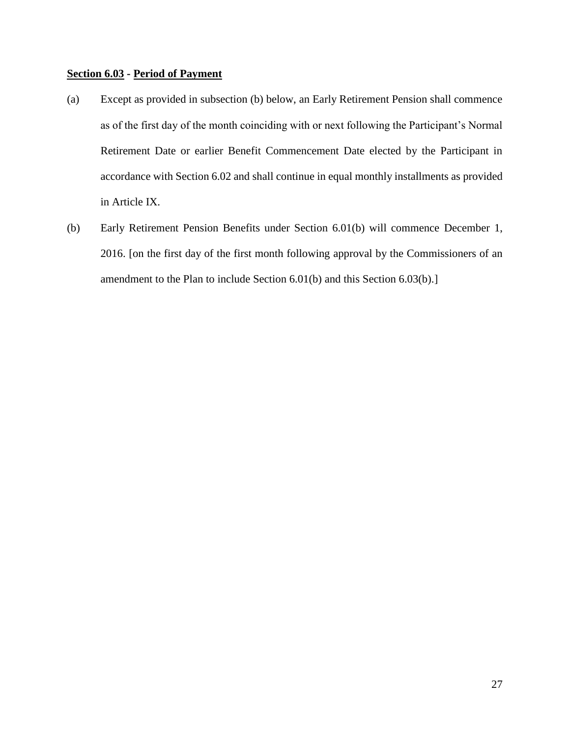## **Section 6.03 - Period of Payment**

- (a) Except as provided in subsection (b) below, an Early Retirement Pension shall commence as of the first day of the month coinciding with or next following the Participant's Normal Retirement Date or earlier Benefit Commencement Date elected by the Participant in accordance with Section 6.02 and shall continue in equal monthly installments as provided in Article IX.
- (b) Early Retirement Pension Benefits under Section 6.01(b) will commence December 1, 2016. [on the first day of the first month following approval by the Commissioners of an amendment to the Plan to include Section 6.01(b) and this Section 6.03(b).]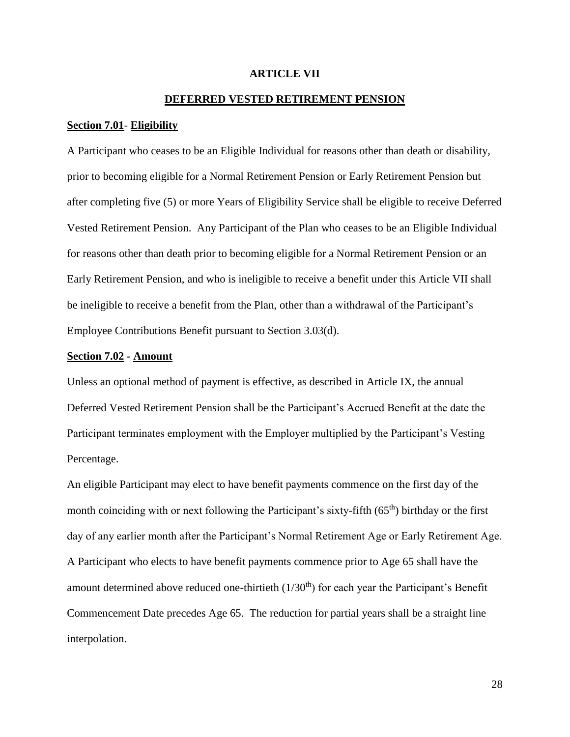## **ARTICLE VII**

## **DEFERRED VESTED RETIREMENT PENSION**

#### **Section 7.01**- **Eligibility**

A Participant who ceases to be an Eligible Individual for reasons other than death or disability, prior to becoming eligible for a Normal Retirement Pension or Early Retirement Pension but after completing five (5) or more Years of Eligibility Service shall be eligible to receive Deferred Vested Retirement Pension. Any Participant of the Plan who ceases to be an Eligible Individual for reasons other than death prior to becoming eligible for a Normal Retirement Pension or an Early Retirement Pension, and who is ineligible to receive a benefit under this Article VII shall be ineligible to receive a benefit from the Plan, other than a withdrawal of the Participant's Employee Contributions Benefit pursuant to Section 3.03(d).

#### **Section 7.02 - Amount**

Unless an optional method of payment is effective, as described in Article IX, the annual Deferred Vested Retirement Pension shall be the Participant's Accrued Benefit at the date the Participant terminates employment with the Employer multiplied by the Participant's Vesting Percentage.

An eligible Participant may elect to have benefit payments commence on the first day of the month coinciding with or next following the Participant's sixty-fifth (65<sup>th</sup>) birthday or the first day of any earlier month after the Participant's Normal Retirement Age or Early Retirement Age. A Participant who elects to have benefit payments commence prior to Age 65 shall have the amount determined above reduced one-thirtieth  $(1/30<sup>th</sup>)$  for each year the Participant's Benefit Commencement Date precedes Age 65. The reduction for partial years shall be a straight line interpolation.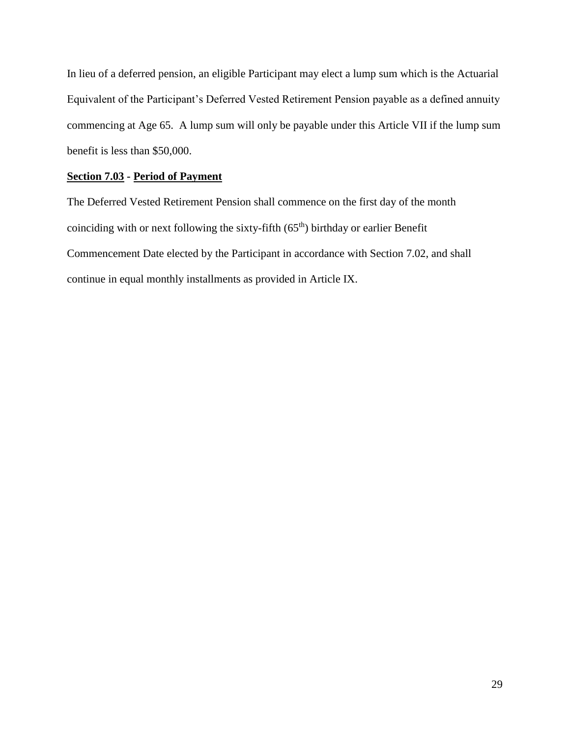In lieu of a deferred pension, an eligible Participant may elect a lump sum which is the Actuarial Equivalent of the Participant's Deferred Vested Retirement Pension payable as a defined annuity commencing at Age 65. A lump sum will only be payable under this Article VII if the lump sum benefit is less than \$50,000.

## **Section 7.03 - Period of Payment**

The Deferred Vested Retirement Pension shall commence on the first day of the month coinciding with or next following the sixty-fifth  $(65<sup>th</sup>)$  birthday or earlier Benefit Commencement Date elected by the Participant in accordance with Section 7.02, and shall continue in equal monthly installments as provided in Article IX.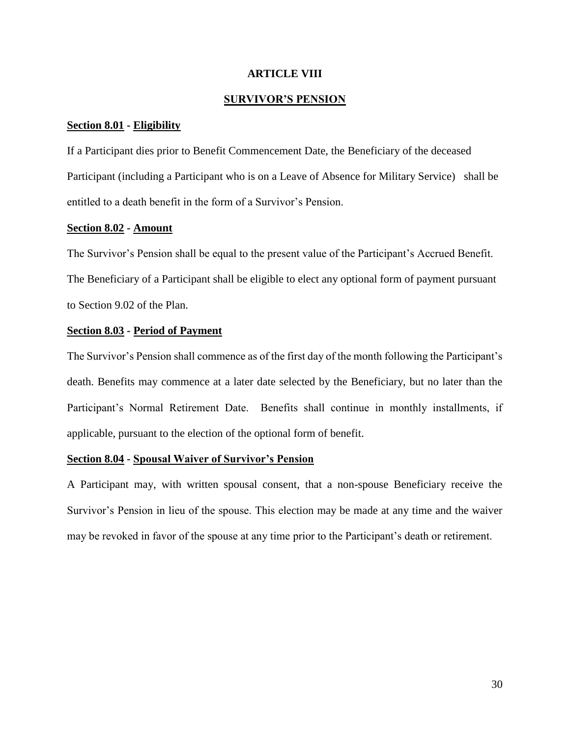## **ARTICLE VIII**

## **SURVIVOR'S PENSION**

## **Section 8.01 - Eligibility**

If a Participant dies prior to Benefit Commencement Date, the Beneficiary of the deceased Participant (including a Participant who is on a Leave of Absence for Military Service) shall be entitled to a death benefit in the form of a Survivor's Pension.

## **Section 8.02 - Amount**

The Survivor's Pension shall be equal to the present value of the Participant's Accrued Benefit. The Beneficiary of a Participant shall be eligible to elect any optional form of payment pursuant to Section 9.02 of the Plan.

## **Section 8.03 - Period of Payment**

The Survivor's Pension shall commence as of the first day of the month following the Participant's death. Benefits may commence at a later date selected by the Beneficiary, but no later than the Participant's Normal Retirement Date. Benefits shall continue in monthly installments, if applicable, pursuant to the election of the optional form of benefit.

## **Section 8.04 - Spousal Waiver of Survivor's Pension**

A Participant may, with written spousal consent, that a non-spouse Beneficiary receive the Survivor's Pension in lieu of the spouse. This election may be made at any time and the waiver may be revoked in favor of the spouse at any time prior to the Participant's death or retirement.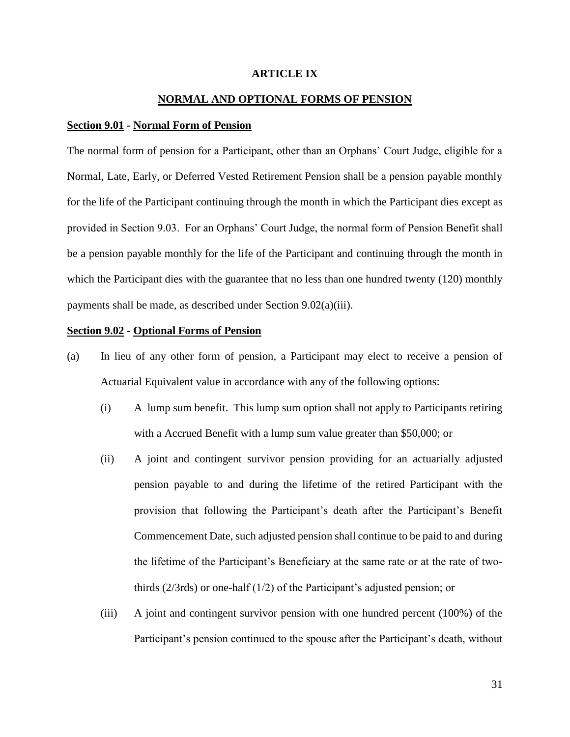## **ARTICLE IX**

## **NORMAL AND OPTIONAL FORMS OF PENSION**

#### **Section 9.01 - Normal Form of Pension**

The normal form of pension for a Participant, other than an Orphans' Court Judge, eligible for a Normal, Late, Early, or Deferred Vested Retirement Pension shall be a pension payable monthly for the life of the Participant continuing through the month in which the Participant dies except as provided in Section 9.03. For an Orphans' Court Judge, the normal form of Pension Benefit shall be a pension payable monthly for the life of the Participant and continuing through the month in which the Participant dies with the guarantee that no less than one hundred twenty (120) monthly payments shall be made, as described under Section 9.02(a)(iii).

#### **Section 9.02 - Optional Forms of Pension**

- (a) In lieu of any other form of pension, a Participant may elect to receive a pension of Actuarial Equivalent value in accordance with any of the following options:
	- (i) A lump sum benefit. This lump sum option shall not apply to Participants retiring with a Accrued Benefit with a lump sum value greater than \$50,000; or
	- (ii) A joint and contingent survivor pension providing for an actuarially adjusted pension payable to and during the lifetime of the retired Participant with the provision that following the Participant's death after the Participant's Benefit Commencement Date, such adjusted pension shall continue to be paid to and during the lifetime of the Participant's Beneficiary at the same rate or at the rate of twothirds (2/3rds) or one-half (1/2) of the Participant's adjusted pension; or
	- (iii) A joint and contingent survivor pension with one hundred percent (100%) of the Participant's pension continued to the spouse after the Participant's death, without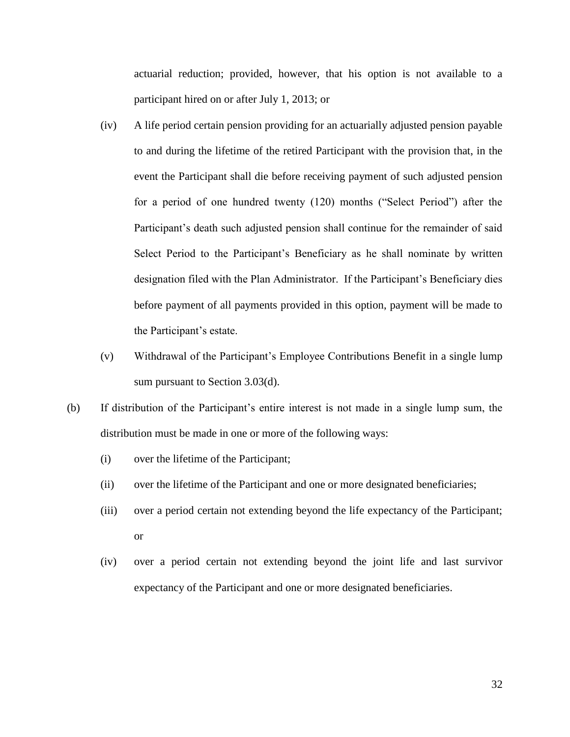actuarial reduction; provided, however, that his option is not available to a participant hired on or after July 1, 2013; or

- (iv) A life period certain pension providing for an actuarially adjusted pension payable to and during the lifetime of the retired Participant with the provision that, in the event the Participant shall die before receiving payment of such adjusted pension for a period of one hundred twenty (120) months ("Select Period") after the Participant's death such adjusted pension shall continue for the remainder of said Select Period to the Participant's Beneficiary as he shall nominate by written designation filed with the Plan Administrator. If the Participant's Beneficiary dies before payment of all payments provided in this option, payment will be made to the Participant's estate.
- (v) Withdrawal of the Participant's Employee Contributions Benefit in a single lump sum pursuant to Section 3.03(d).
- (b) If distribution of the Participant's entire interest is not made in a single lump sum, the distribution must be made in one or more of the following ways:
	- (i) over the lifetime of the Participant;
	- (ii) over the lifetime of the Participant and one or more designated beneficiaries;
	- (iii) over a period certain not extending beyond the life expectancy of the Participant; or
	- (iv) over a period certain not extending beyond the joint life and last survivor expectancy of the Participant and one or more designated beneficiaries.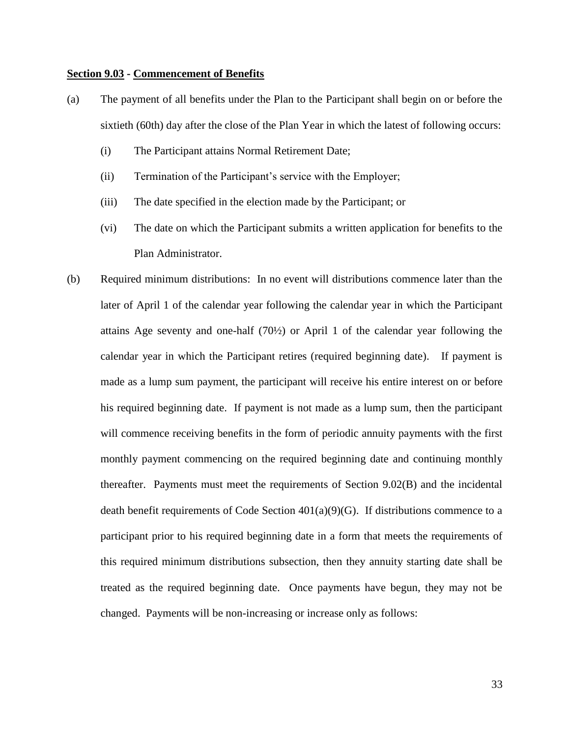#### **Section 9.03 - Commencement of Benefits**

- (a) The payment of all benefits under the Plan to the Participant shall begin on or before the sixtieth (60th) day after the close of the Plan Year in which the latest of following occurs:
	- (i) The Participant attains Normal Retirement Date;
	- (ii) Termination of the Participant's service with the Employer;
	- (iii) The date specified in the election made by the Participant; or
	- (vi) The date on which the Participant submits a written application for benefits to the Plan Administrator.
- (b) Required minimum distributions: In no event will distributions commence later than the later of April 1 of the calendar year following the calendar year in which the Participant attains Age seventy and one-half (70½) or April 1 of the calendar year following the calendar year in which the Participant retires (required beginning date). If payment is made as a lump sum payment, the participant will receive his entire interest on or before his required beginning date. If payment is not made as a lump sum, then the participant will commence receiving benefits in the form of periodic annuity payments with the first monthly payment commencing on the required beginning date and continuing monthly thereafter. Payments must meet the requirements of Section 9.02(B) and the incidental death benefit requirements of Code Section  $401(a)(9)(G)$ . If distributions commence to a participant prior to his required beginning date in a form that meets the requirements of this required minimum distributions subsection, then they annuity starting date shall be treated as the required beginning date. Once payments have begun, they may not be changed. Payments will be non-increasing or increase only as follows: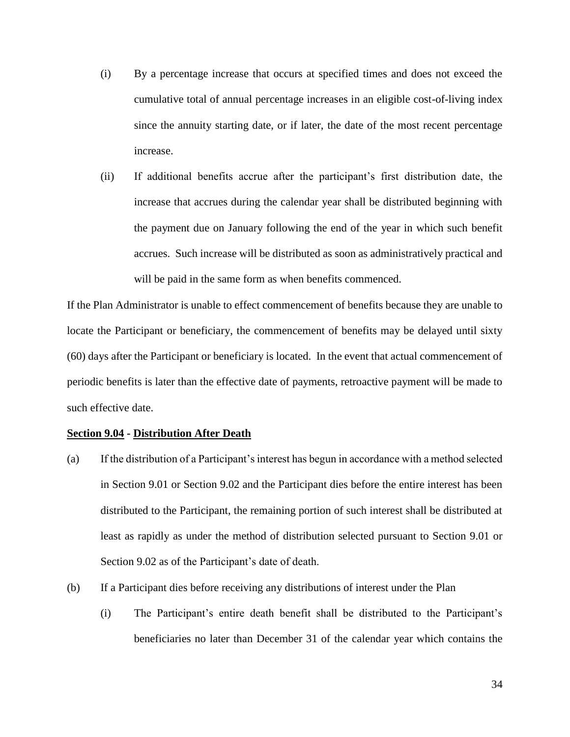- (i) By a percentage increase that occurs at specified times and does not exceed the cumulative total of annual percentage increases in an eligible cost-of-living index since the annuity starting date, or if later, the date of the most recent percentage increase.
- (ii) If additional benefits accrue after the participant's first distribution date, the increase that accrues during the calendar year shall be distributed beginning with the payment due on January following the end of the year in which such benefit accrues. Such increase will be distributed as soon as administratively practical and will be paid in the same form as when benefits commenced.

If the Plan Administrator is unable to effect commencement of benefits because they are unable to locate the Participant or beneficiary, the commencement of benefits may be delayed until sixty (60) days after the Participant or beneficiary is located. In the event that actual commencement of periodic benefits is later than the effective date of payments, retroactive payment will be made to such effective date.

#### **Section 9.04 - Distribution After Death**

- (a) If the distribution of a Participant's interest has begun in accordance with a method selected in Section 9.01 or Section 9.02 and the Participant dies before the entire interest has been distributed to the Participant, the remaining portion of such interest shall be distributed at least as rapidly as under the method of distribution selected pursuant to Section 9.01 or Section 9.02 as of the Participant's date of death.
- (b) If a Participant dies before receiving any distributions of interest under the Plan
	- (i) The Participant's entire death benefit shall be distributed to the Participant's beneficiaries no later than December 31 of the calendar year which contains the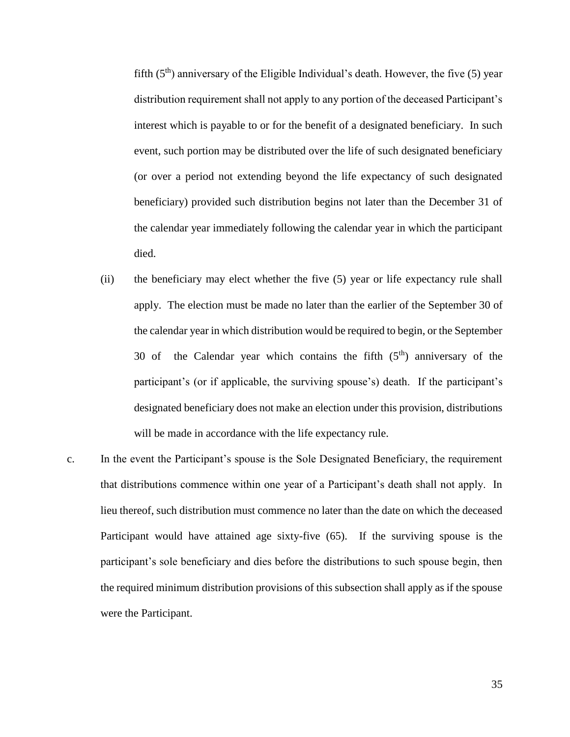fifth  $(5<sup>th</sup>)$  anniversary of the Eligible Individual's death. However, the five  $(5)$  year distribution requirement shall not apply to any portion of the deceased Participant's interest which is payable to or for the benefit of a designated beneficiary. In such event, such portion may be distributed over the life of such designated beneficiary (or over a period not extending beyond the life expectancy of such designated beneficiary) provided such distribution begins not later than the December 31 of the calendar year immediately following the calendar year in which the participant died.

- (ii) the beneficiary may elect whether the five (5) year or life expectancy rule shall apply. The election must be made no later than the earlier of the September 30 of the calendar year in which distribution would be required to begin, or the September 30 of the Calendar year which contains the fifth  $(5<sup>th</sup>)$  anniversary of the participant's (or if applicable, the surviving spouse's) death. If the participant's designated beneficiary does not make an election under this provision, distributions will be made in accordance with the life expectancy rule.
- c. In the event the Participant's spouse is the Sole Designated Beneficiary, the requirement that distributions commence within one year of a Participant's death shall not apply. In lieu thereof, such distribution must commence no later than the date on which the deceased Participant would have attained age sixty-five (65). If the surviving spouse is the participant's sole beneficiary and dies before the distributions to such spouse begin, then the required minimum distribution provisions of this subsection shall apply as if the spouse were the Participant.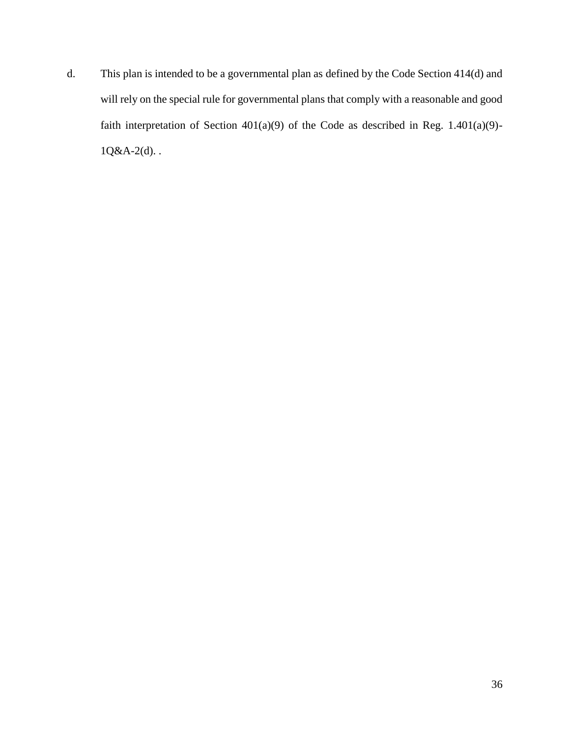d. This plan is intended to be a governmental plan as defined by the Code Section 414(d) and will rely on the special rule for governmental plans that comply with a reasonable and good faith interpretation of Section 401(a)(9) of the Code as described in Reg. 1.401(a)(9)-  $1Q&A-2(d)$ ..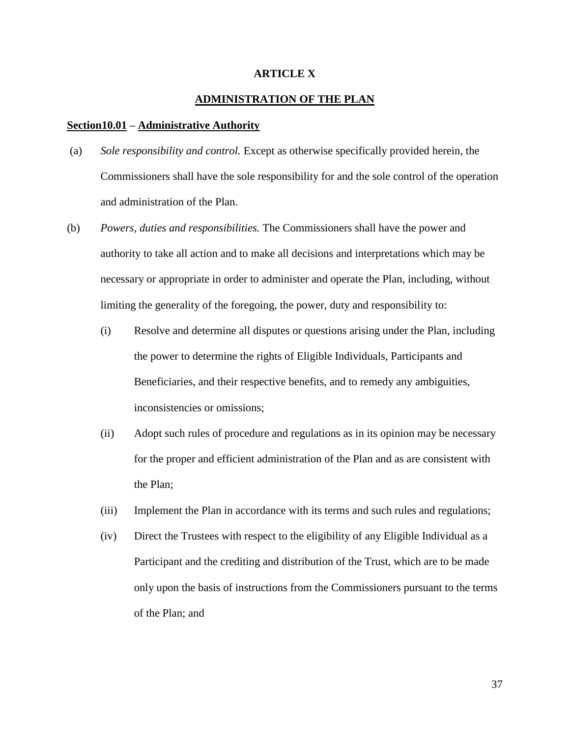## **ARTICLE X**

## **ADMINISTRATION OF THE PLAN**

#### **Section10.01 – Administrative Authority**

- (a) *Sole responsibility and control.* Except as otherwise specifically provided herein, the Commissioners shall have the sole responsibility for and the sole control of the operation and administration of the Plan.
- (b) *Powers, duties and responsibilities.* The Commissioners shall have the power and authority to take all action and to make all decisions and interpretations which may be necessary or appropriate in order to administer and operate the Plan, including, without limiting the generality of the foregoing, the power, duty and responsibility to:
	- (i) Resolve and determine all disputes or questions arising under the Plan, including the power to determine the rights of Eligible Individuals, Participants and Beneficiaries, and their respective benefits, and to remedy any ambiguities, inconsistencies or omissions;
	- (ii) Adopt such rules of procedure and regulations as in its opinion may be necessary for the proper and efficient administration of the Plan and as are consistent with the Plan;
	- (iii) Implement the Plan in accordance with its terms and such rules and regulations;
	- (iv) Direct the Trustees with respect to the eligibility of any Eligible Individual as a Participant and the crediting and distribution of the Trust, which are to be made only upon the basis of instructions from the Commissioners pursuant to the terms of the Plan; and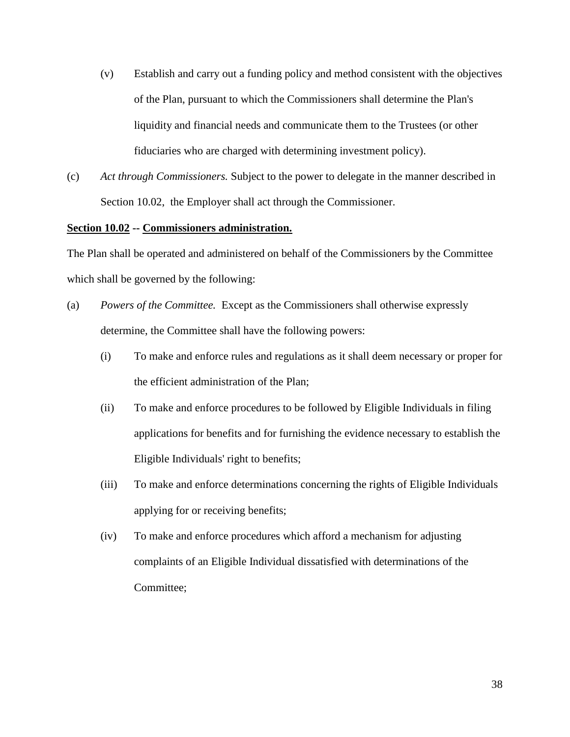- (v) Establish and carry out a funding policy and method consistent with the objectives of the Plan, pursuant to which the Commissioners shall determine the Plan's liquidity and financial needs and communicate them to the Trustees (or other fiduciaries who are charged with determining investment policy).
- (c) *Act through Commissioners.* Subject to the power to delegate in the manner described in Section 10.02, the Employer shall act through the Commissioner.

## **Section 10.02 -- Commissioners administration.**

The Plan shall be operated and administered on behalf of the Commissioners by the Committee which shall be governed by the following:

- (a) *Powers of the Committee.* Except as the Commissioners shall otherwise expressly determine, the Committee shall have the following powers:
	- (i) To make and enforce rules and regulations as it shall deem necessary or proper for the efficient administration of the Plan;
	- (ii) To make and enforce procedures to be followed by Eligible Individuals in filing applications for benefits and for furnishing the evidence necessary to establish the Eligible Individuals' right to benefits;
	- (iii) To make and enforce determinations concerning the rights of Eligible Individuals applying for or receiving benefits;
	- (iv) To make and enforce procedures which afford a mechanism for adjusting complaints of an Eligible Individual dissatisfied with determinations of the Committee;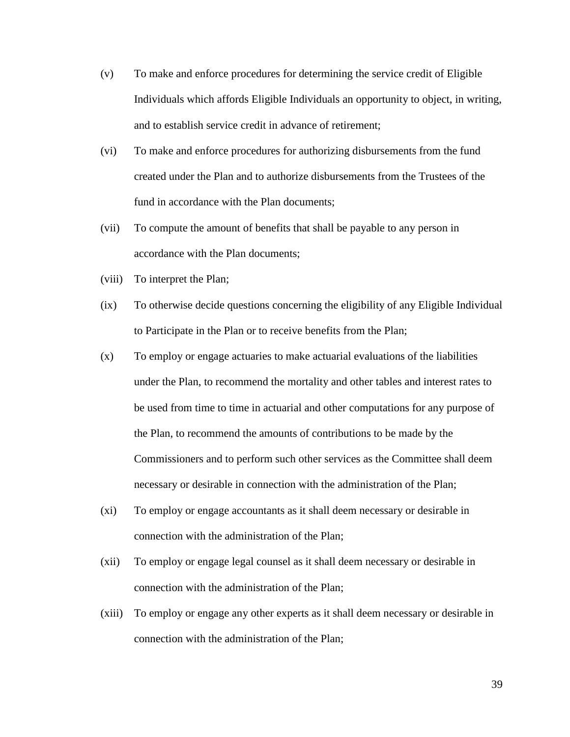- (v) To make and enforce procedures for determining the service credit of Eligible Individuals which affords Eligible Individuals an opportunity to object, in writing, and to establish service credit in advance of retirement;
- (vi) To make and enforce procedures for authorizing disbursements from the fund created under the Plan and to authorize disbursements from the Trustees of the fund in accordance with the Plan documents;
- (vii) To compute the amount of benefits that shall be payable to any person in accordance with the Plan documents;
- (viii) To interpret the Plan;
- (ix) To otherwise decide questions concerning the eligibility of any Eligible Individual to Participate in the Plan or to receive benefits from the Plan;
- (x) To employ or engage actuaries to make actuarial evaluations of the liabilities under the Plan, to recommend the mortality and other tables and interest rates to be used from time to time in actuarial and other computations for any purpose of the Plan, to recommend the amounts of contributions to be made by the Commissioners and to perform such other services as the Committee shall deem necessary or desirable in connection with the administration of the Plan;
- (xi) To employ or engage accountants as it shall deem necessary or desirable in connection with the administration of the Plan;
- (xii) To employ or engage legal counsel as it shall deem necessary or desirable in connection with the administration of the Plan;
- (xiii) To employ or engage any other experts as it shall deem necessary or desirable in connection with the administration of the Plan;

39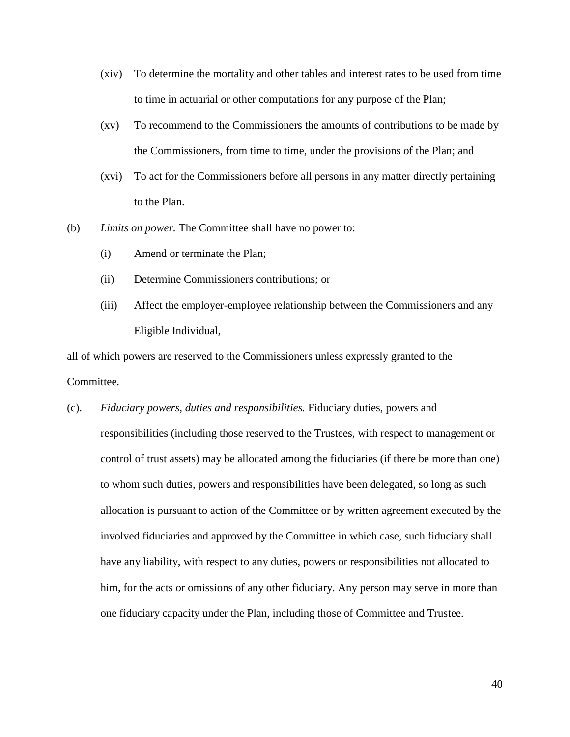- (xiv) To determine the mortality and other tables and interest rates to be used from time to time in actuarial or other computations for any purpose of the Plan;
- (xv) To recommend to the Commissioners the amounts of contributions to be made by the Commissioners, from time to time, under the provisions of the Plan; and
- (xvi) To act for the Commissioners before all persons in any matter directly pertaining to the Plan.
- (b) *Limits on power.* The Committee shall have no power to:
	- (i) Amend or terminate the Plan;
	- (ii) Determine Commissioners contributions; or
	- (iii) Affect the employer-employee relationship between the Commissioners and any Eligible Individual,

all of which powers are reserved to the Commissioners unless expressly granted to the Committee.

(c). *Fiduciary powers, duties and responsibilities.* Fiduciary duties, powers and responsibilities (including those reserved to the Trustees, with respect to management or control of trust assets) may be allocated among the fiduciaries (if there be more than one) to whom such duties, powers and responsibilities have been delegated, so long as such allocation is pursuant to action of the Committee or by written agreement executed by the involved fiduciaries and approved by the Committee in which case, such fiduciary shall have any liability, with respect to any duties, powers or responsibilities not allocated to him, for the acts or omissions of any other fiduciary. Any person may serve in more than one fiduciary capacity under the Plan, including those of Committee and Trustee.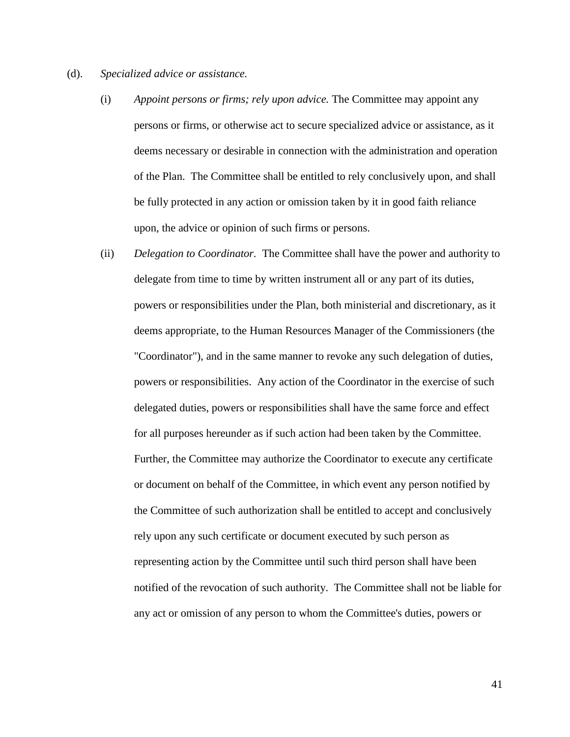- (d). *Specialized advice or assistance.*
	- (i) *Appoint persons or firms; rely upon advice.* The Committee may appoint any persons or firms, or otherwise act to secure specialized advice or assistance, as it deems necessary or desirable in connection with the administration and operation of the Plan. The Committee shall be entitled to rely conclusively upon, and shall be fully protected in any action or omission taken by it in good faith reliance upon, the advice or opinion of such firms or persons.
	- (ii) *Delegation to Coordinator.* The Committee shall have the power and authority to delegate from time to time by written instrument all or any part of its duties, powers or responsibilities under the Plan, both ministerial and discretionary, as it deems appropriate, to the Human Resources Manager of the Commissioners (the "Coordinator"), and in the same manner to revoke any such delegation of duties, powers or responsibilities. Any action of the Coordinator in the exercise of such delegated duties, powers or responsibilities shall have the same force and effect for all purposes hereunder as if such action had been taken by the Committee. Further, the Committee may authorize the Coordinator to execute any certificate or document on behalf of the Committee, in which event any person notified by the Committee of such authorization shall be entitled to accept and conclusively rely upon any such certificate or document executed by such person as representing action by the Committee until such third person shall have been notified of the revocation of such authority. The Committee shall not be liable for any act or omission of any person to whom the Committee's duties, powers or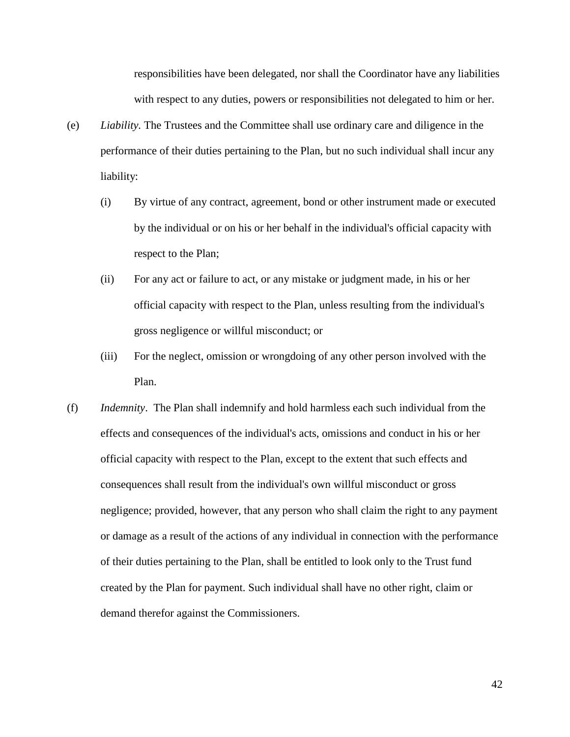responsibilities have been delegated, nor shall the Coordinator have any liabilities with respect to any duties, powers or responsibilities not delegated to him or her.

- (e) *Liability.* The Trustees and the Committee shall use ordinary care and diligence in the performance of their duties pertaining to the Plan, but no such individual shall incur any liability:
	- (i) By virtue of any contract, agreement, bond or other instrument made or executed by the individual or on his or her behalf in the individual's official capacity with respect to the Plan;
	- (ii) For any act or failure to act, or any mistake or judgment made, in his or her official capacity with respect to the Plan, unless resulting from the individual's gross negligence or willful misconduct; or
	- (iii) For the neglect, omission or wrongdoing of any other person involved with the Plan.
- (f) *Indemnity*. The Plan shall indemnify and hold harmless each such individual from the effects and consequences of the individual's acts, omissions and conduct in his or her official capacity with respect to the Plan, except to the extent that such effects and consequences shall result from the individual's own willful misconduct or gross negligence; provided, however, that any person who shall claim the right to any payment or damage as a result of the actions of any individual in connection with the performance of their duties pertaining to the Plan, shall be entitled to look only to the Trust fund created by the Plan for payment. Such individual shall have no other right, claim or demand therefor against the Commissioners.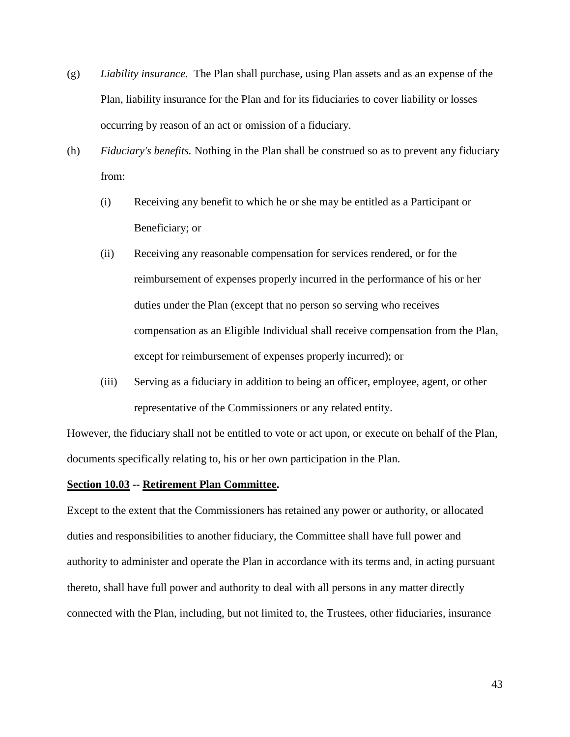- (g) *Liability insurance.* The Plan shall purchase, using Plan assets and as an expense of the Plan, liability insurance for the Plan and for its fiduciaries to cover liability or losses occurring by reason of an act or omission of a fiduciary.
- (h) *Fiduciary's benefits.* Nothing in the Plan shall be construed so as to prevent any fiduciary from:
	- (i) Receiving any benefit to which he or she may be entitled as a Participant or Beneficiary; or
	- (ii) Receiving any reasonable compensation for services rendered, or for the reimbursement of expenses properly incurred in the performance of his or her duties under the Plan (except that no person so serving who receives compensation as an Eligible Individual shall receive compensation from the Plan, except for reimbursement of expenses properly incurred); or
	- (iii) Serving as a fiduciary in addition to being an officer, employee, agent, or other representative of the Commissioners or any related entity.

However, the fiduciary shall not be entitled to vote or act upon, or execute on behalf of the Plan, documents specifically relating to, his or her own participation in the Plan.

## **Section 10.03 -- Retirement Plan Committee.**

Except to the extent that the Commissioners has retained any power or authority, or allocated duties and responsibilities to another fiduciary, the Committee shall have full power and authority to administer and operate the Plan in accordance with its terms and, in acting pursuant thereto, shall have full power and authority to deal with all persons in any matter directly connected with the Plan, including, but not limited to, the Trustees, other fiduciaries, insurance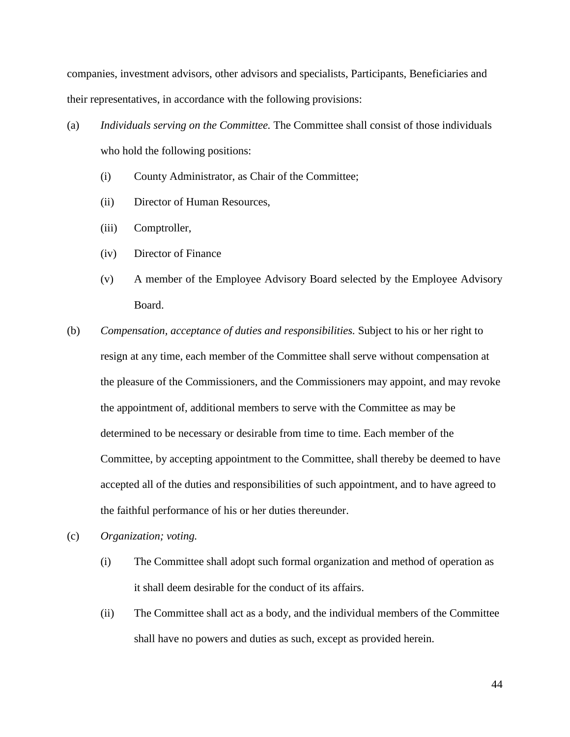companies, investment advisors, other advisors and specialists, Participants, Beneficiaries and their representatives, in accordance with the following provisions:

- (a) *Individuals serving on the Committee.* The Committee shall consist of those individuals who hold the following positions:
	- (i) County Administrator, as Chair of the Committee;
	- (ii) Director of Human Resources,
	- (iii) Comptroller,
	- (iv) Director of Finance
	- (v) A member of the Employee Advisory Board selected by the Employee Advisory Board.
- (b) *Compensation, acceptance of duties and responsibilities.* Subject to his or her right to resign at any time, each member of the Committee shall serve without compensation at the pleasure of the Commissioners, and the Commissioners may appoint, and may revoke the appointment of, additional members to serve with the Committee as may be determined to be necessary or desirable from time to time. Each member of the Committee, by accepting appointment to the Committee, shall thereby be deemed to have accepted all of the duties and responsibilities of such appointment, and to have agreed to the faithful performance of his or her duties thereunder.
- (c) *Organization; voting.*
	- (i) The Committee shall adopt such formal organization and method of operation as it shall deem desirable for the conduct of its affairs.
	- (ii) The Committee shall act as a body, and the individual members of the Committee shall have no powers and duties as such, except as provided herein.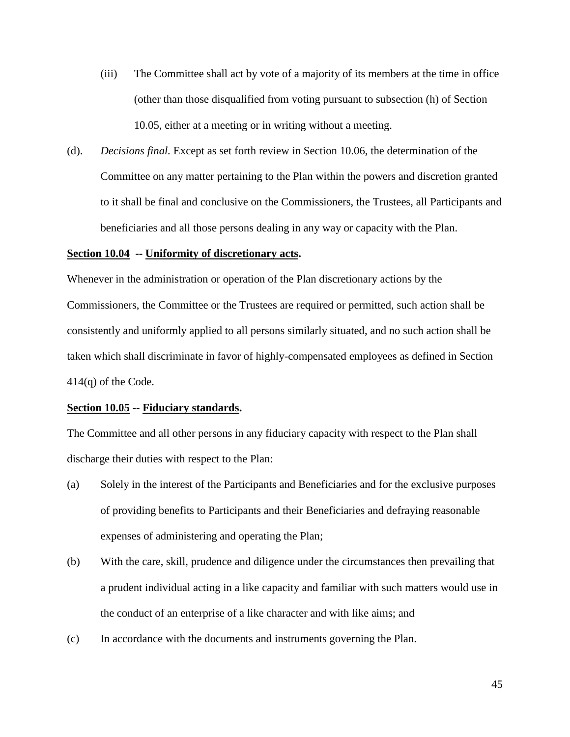- (iii) The Committee shall act by vote of a majority of its members at the time in office (other than those disqualified from voting pursuant to subsection (h) of Section 10.05, either at a meeting or in writing without a meeting.
- (d). *Decisions final.* Except as set forth review in Section 10.06, the determination of the Committee on any matter pertaining to the Plan within the powers and discretion granted to it shall be final and conclusive on the Commissioners, the Trustees, all Participants and beneficiaries and all those persons dealing in any way or capacity with the Plan.

## **Section 10.04 -- Uniformity of discretionary acts.**

Whenever in the administration or operation of the Plan discretionary actions by the Commissioners, the Committee or the Trustees are required or permitted, such action shall be consistently and uniformly applied to all persons similarly situated, and no such action shall be taken which shall discriminate in favor of highly-compensated employees as defined in Section 414(q) of the Code.

## **Section 10.05 -- Fiduciary standards.**

The Committee and all other persons in any fiduciary capacity with respect to the Plan shall discharge their duties with respect to the Plan:

- (a) Solely in the interest of the Participants and Beneficiaries and for the exclusive purposes of providing benefits to Participants and their Beneficiaries and defraying reasonable expenses of administering and operating the Plan;
- (b) With the care, skill, prudence and diligence under the circumstances then prevailing that a prudent individual acting in a like capacity and familiar with such matters would use in the conduct of an enterprise of a like character and with like aims; and
- (c) In accordance with the documents and instruments governing the Plan.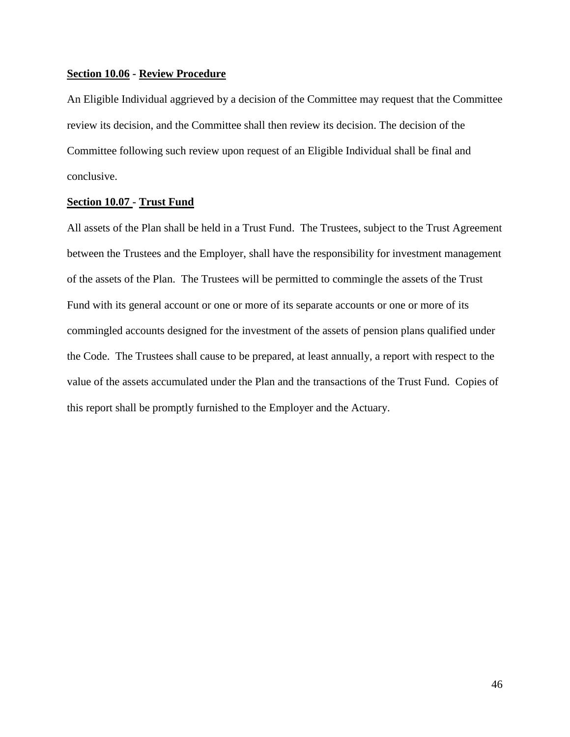## **Section 10.06 - Review Procedure**

An Eligible Individual aggrieved by a decision of the Committee may request that the Committee review its decision, and the Committee shall then review its decision. The decision of the Committee following such review upon request of an Eligible Individual shall be final and conclusive.

## **Section 10.07 - Trust Fund**

All assets of the Plan shall be held in a Trust Fund. The Trustees, subject to the Trust Agreement between the Trustees and the Employer, shall have the responsibility for investment management of the assets of the Plan. The Trustees will be permitted to commingle the assets of the Trust Fund with its general account or one or more of its separate accounts or one or more of its commingled accounts designed for the investment of the assets of pension plans qualified under the Code. The Trustees shall cause to be prepared, at least annually, a report with respect to the value of the assets accumulated under the Plan and the transactions of the Trust Fund. Copies of this report shall be promptly furnished to the Employer and the Actuary.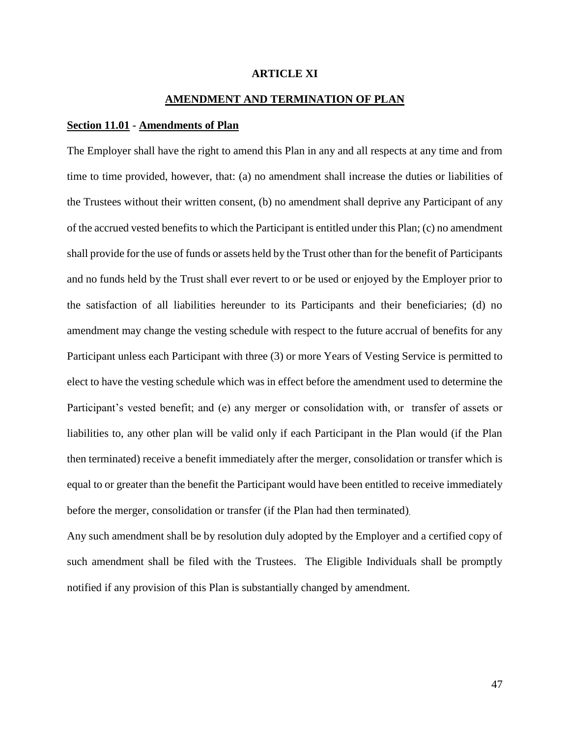## **ARTICLE XI**

## **AMENDMENT AND TERMINATION OF PLAN**

## **Section 11.01 - Amendments of Plan**

The Employer shall have the right to amend this Plan in any and all respects at any time and from time to time provided, however, that: (a) no amendment shall increase the duties or liabilities of the Trustees without their written consent, (b) no amendment shall deprive any Participant of any of the accrued vested benefits to which the Participant is entitled under this Plan; (c) no amendment shall provide for the use of funds or assets held by the Trust other than for the benefit of Participants and no funds held by the Trust shall ever revert to or be used or enjoyed by the Employer prior to the satisfaction of all liabilities hereunder to its Participants and their beneficiaries; (d) no amendment may change the vesting schedule with respect to the future accrual of benefits for any Participant unless each Participant with three (3) or more Years of Vesting Service is permitted to elect to have the vesting schedule which was in effect before the amendment used to determine the Participant's vested benefit; and (e) any merger or consolidation with, or transfer of assets or liabilities to, any other plan will be valid only if each Participant in the Plan would (if the Plan then terminated) receive a benefit immediately after the merger, consolidation or transfer which is equal to or greater than the benefit the Participant would have been entitled to receive immediately before the merger, consolidation or transfer (if the Plan had then terminated).

Any such amendment shall be by resolution duly adopted by the Employer and a certified copy of such amendment shall be filed with the Trustees. The Eligible Individuals shall be promptly notified if any provision of this Plan is substantially changed by amendment.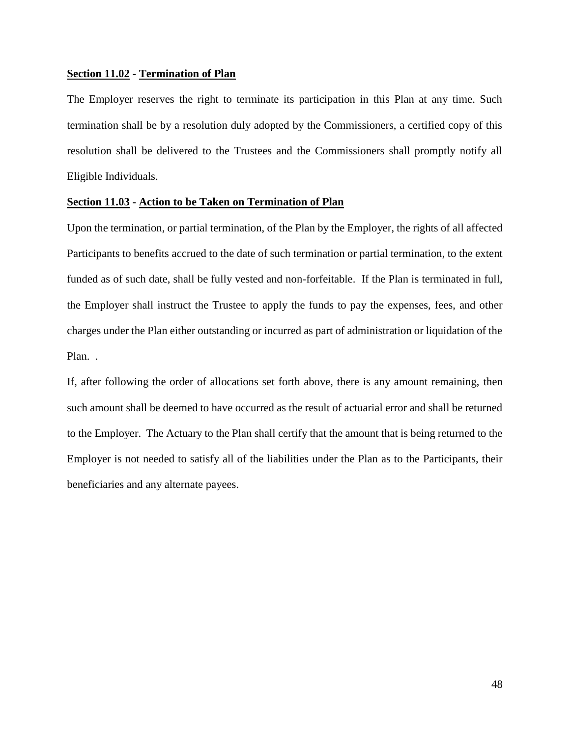## **Section 11.02 - Termination of Plan**

The Employer reserves the right to terminate its participation in this Plan at any time. Such termination shall be by a resolution duly adopted by the Commissioners, a certified copy of this resolution shall be delivered to the Trustees and the Commissioners shall promptly notify all Eligible Individuals.

## **Section 11.03 - Action to be Taken on Termination of Plan**

Upon the termination, or partial termination, of the Plan by the Employer, the rights of all affected Participants to benefits accrued to the date of such termination or partial termination, to the extent funded as of such date, shall be fully vested and non-forfeitable. If the Plan is terminated in full, the Employer shall instruct the Trustee to apply the funds to pay the expenses, fees, and other charges under the Plan either outstanding or incurred as part of administration or liquidation of the Plan. .

If, after following the order of allocations set forth above, there is any amount remaining, then such amount shall be deemed to have occurred as the result of actuarial error and shall be returned to the Employer. The Actuary to the Plan shall certify that the amount that is being returned to the Employer is not needed to satisfy all of the liabilities under the Plan as to the Participants, their beneficiaries and any alternate payees.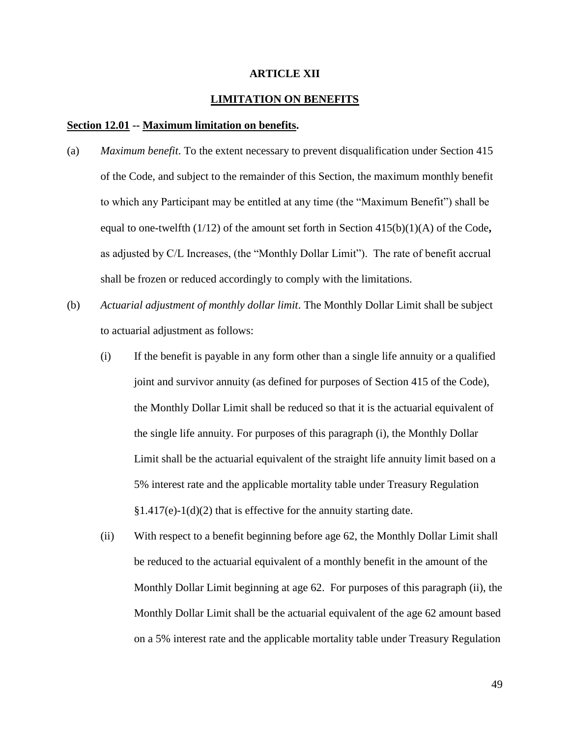## **ARTICLE XII**

## **LIMITATION ON BENEFITS**

#### **Section 12.01 -- Maximum limitation on benefits.**

- (a) *Maximum benefit*. To the extent necessary to prevent disqualification under Section 415 of the Code, and subject to the remainder of this Section, the maximum monthly benefit to which any Participant may be entitled at any time (the "Maximum Benefit") shall be equal to one-twelfth (1/12) of the amount set forth in Section 415(b)(1)(A) of the Code**,** as adjusted by C/L Increases, (the "Monthly Dollar Limit"). The rate of benefit accrual shall be frozen or reduced accordingly to comply with the limitations.
- (b) *Actuarial adjustment of monthly dollar limit*. The Monthly Dollar Limit shall be subject to actuarial adjustment as follows:
	- (i) If the benefit is payable in any form other than a single life annuity or a qualified joint and survivor annuity (as defined for purposes of Section 415 of the Code), the Monthly Dollar Limit shall be reduced so that it is the actuarial equivalent of the single life annuity. For purposes of this paragraph (i), the Monthly Dollar Limit shall be the actuarial equivalent of the straight life annuity limit based on a 5% interest rate and the applicable mortality table under Treasury Regulation  $§1.417(e)-1(d)(2)$  that is effective for the annuity starting date.
	- (ii) With respect to a benefit beginning before age 62, the Monthly Dollar Limit shall be reduced to the actuarial equivalent of a monthly benefit in the amount of the Monthly Dollar Limit beginning at age 62. For purposes of this paragraph (ii), the Monthly Dollar Limit shall be the actuarial equivalent of the age 62 amount based on a 5% interest rate and the applicable mortality table under Treasury Regulation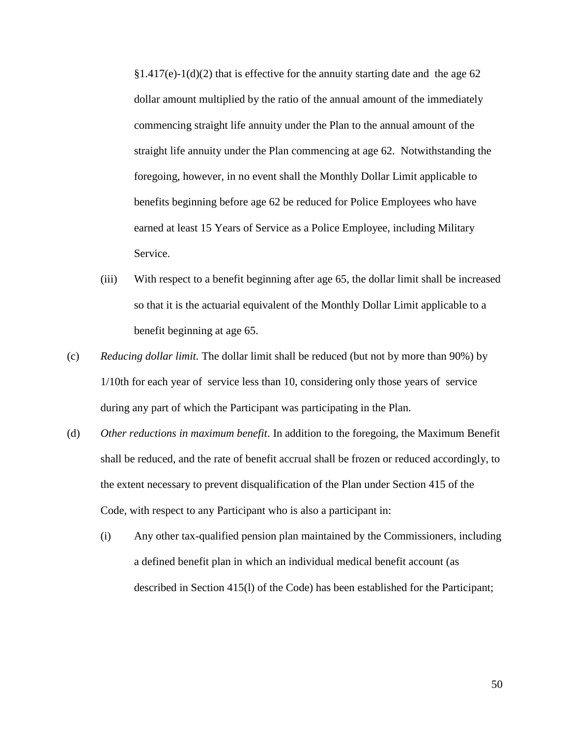$§1.417(e)-1(d)(2)$  that is effective for the annuity starting date and the age 62 dollar amount multiplied by the ratio of the annual amount of the immediately commencing straight life annuity under the Plan to the annual amount of the straight life annuity under the Plan commencing at age 62. Notwithstanding the foregoing, however, in no event shall the Monthly Dollar Limit applicable to benefits beginning before age 62 be reduced for Police Employees who have earned at least 15 Years of Service as a Police Employee, including Military Service.

- (iii) With respect to a benefit beginning after age 65, the dollar limit shall be increased so that it is the actuarial equivalent of the Monthly Dollar Limit applicable to a benefit beginning at age 65.
- (c) *Reducing dollar limit.* The dollar limit shall be reduced (but not by more than 90%) by 1/10th for each year of service less than 10, considering only those years of service during any part of which the Participant was participating in the Plan.
- (d) *Other reductions in maximum benefit*. In addition to the foregoing, the Maximum Benefit shall be reduced, and the rate of benefit accrual shall be frozen or reduced accordingly, to the extent necessary to prevent disqualification of the Plan under Section 415 of the Code, with respect to any Participant who is also a participant in:
	- (i) Any other tax-qualified pension plan maintained by the Commissioners, including a defined benefit plan in which an individual medical benefit account (as described in Section 415(l) of the Code) has been established for the Participant;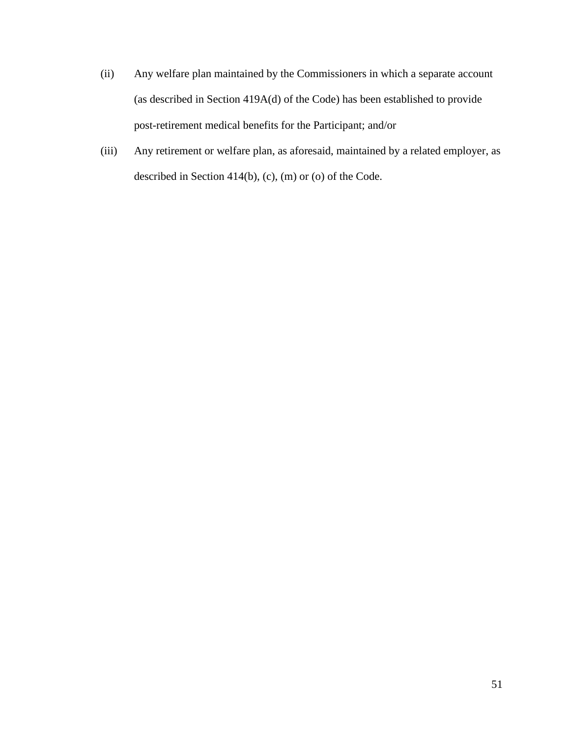- (ii) Any welfare plan maintained by the Commissioners in which a separate account (as described in Section 419A(d) of the Code) has been established to provide post-retirement medical benefits for the Participant; and/or
- (iii) Any retirement or welfare plan, as aforesaid, maintained by a related employer, as described in Section 414(b), (c), (m) or (o) of the Code.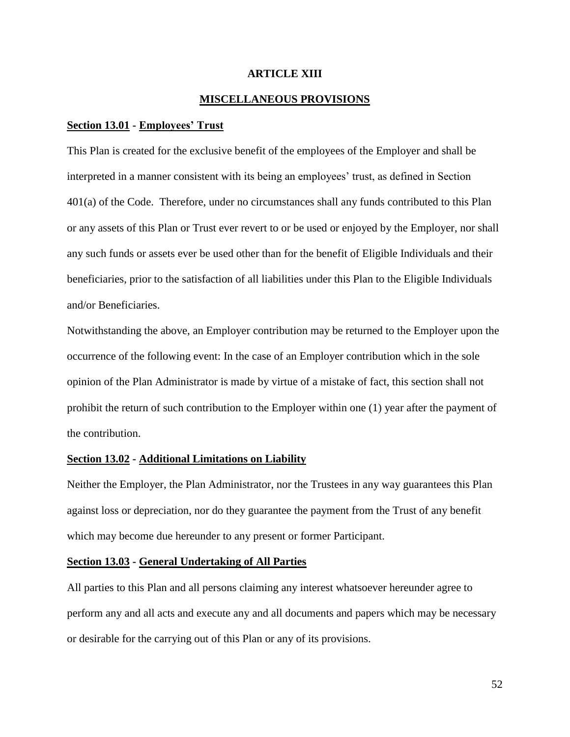## **ARTICLE XIII**

## **MISCELLANEOUS PROVISIONS**

#### **Section 13.01 - Employees' Trust**

This Plan is created for the exclusive benefit of the employees of the Employer and shall be interpreted in a manner consistent with its being an employees' trust, as defined in Section 401(a) of the Code. Therefore, under no circumstances shall any funds contributed to this Plan or any assets of this Plan or Trust ever revert to or be used or enjoyed by the Employer, nor shall any such funds or assets ever be used other than for the benefit of Eligible Individuals and their beneficiaries, prior to the satisfaction of all liabilities under this Plan to the Eligible Individuals and/or Beneficiaries.

Notwithstanding the above, an Employer contribution may be returned to the Employer upon the occurrence of the following event: In the case of an Employer contribution which in the sole opinion of the Plan Administrator is made by virtue of a mistake of fact, this section shall not prohibit the return of such contribution to the Employer within one (1) year after the payment of the contribution.

#### **Section 13.02 - Additional Limitations on Liability**

Neither the Employer, the Plan Administrator, nor the Trustees in any way guarantees this Plan against loss or depreciation, nor do they guarantee the payment from the Trust of any benefit which may become due hereunder to any present or former Participant.

#### **Section 13.03 - General Undertaking of All Parties**

All parties to this Plan and all persons claiming any interest whatsoever hereunder agree to perform any and all acts and execute any and all documents and papers which may be necessary or desirable for the carrying out of this Plan or any of its provisions.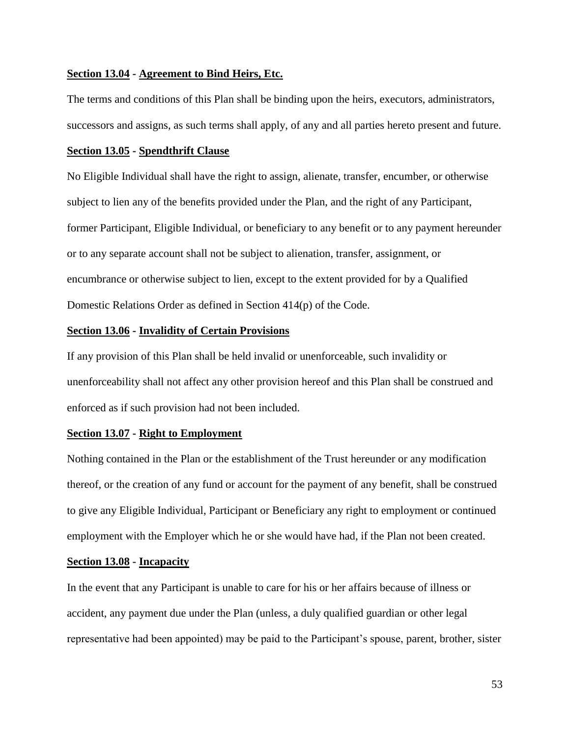## **Section 13.04 - Agreement to Bind Heirs, Etc.**

The terms and conditions of this Plan shall be binding upon the heirs, executors, administrators, successors and assigns, as such terms shall apply, of any and all parties hereto present and future.

#### **Section 13.05 - Spendthrift Clause**

No Eligible Individual shall have the right to assign, alienate, transfer, encumber, or otherwise subject to lien any of the benefits provided under the Plan, and the right of any Participant, former Participant, Eligible Individual, or beneficiary to any benefit or to any payment hereunder or to any separate account shall not be subject to alienation, transfer, assignment, or encumbrance or otherwise subject to lien, except to the extent provided for by a Qualified Domestic Relations Order as defined in Section 414(p) of the Code.

## **Section 13.06 - Invalidity of Certain Provisions**

If any provision of this Plan shall be held invalid or unenforceable, such invalidity or unenforceability shall not affect any other provision hereof and this Plan shall be construed and enforced as if such provision had not been included.

#### **Section 13.07 - Right to Employment**

Nothing contained in the Plan or the establishment of the Trust hereunder or any modification thereof, or the creation of any fund or account for the payment of any benefit, shall be construed to give any Eligible Individual, Participant or Beneficiary any right to employment or continued employment with the Employer which he or she would have had, if the Plan not been created.

#### **Section 13.08 - Incapacity**

In the event that any Participant is unable to care for his or her affairs because of illness or accident, any payment due under the Plan (unless, a duly qualified guardian or other legal representative had been appointed) may be paid to the Participant's spouse, parent, brother, sister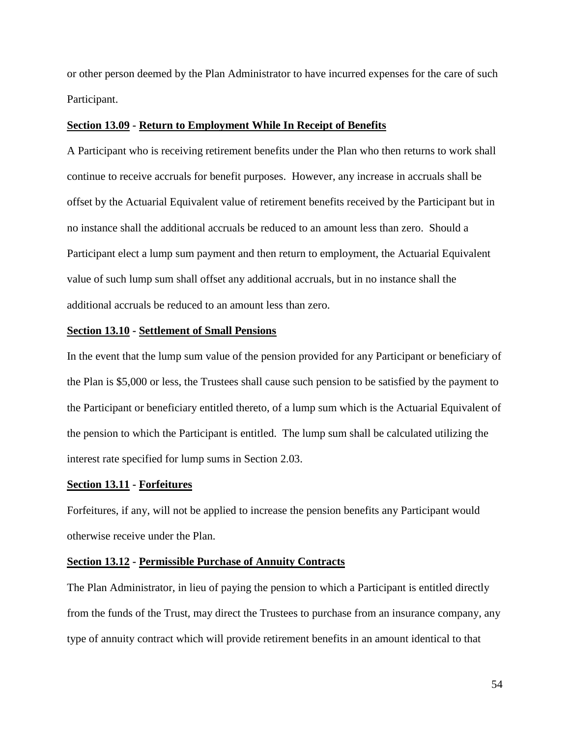or other person deemed by the Plan Administrator to have incurred expenses for the care of such Participant.

## **Section 13.09 - Return to Employment While In Receipt of Benefits**

A Participant who is receiving retirement benefits under the Plan who then returns to work shall continue to receive accruals for benefit purposes. However, any increase in accruals shall be offset by the Actuarial Equivalent value of retirement benefits received by the Participant but in no instance shall the additional accruals be reduced to an amount less than zero. Should a Participant elect a lump sum payment and then return to employment, the Actuarial Equivalent value of such lump sum shall offset any additional accruals, but in no instance shall the additional accruals be reduced to an amount less than zero.

#### **Section 13.10 - Settlement of Small Pensions**

In the event that the lump sum value of the pension provided for any Participant or beneficiary of the Plan is \$5,000 or less, the Trustees shall cause such pension to be satisfied by the payment to the Participant or beneficiary entitled thereto, of a lump sum which is the Actuarial Equivalent of the pension to which the Participant is entitled. The lump sum shall be calculated utilizing the interest rate specified for lump sums in Section 2.03.

#### **Section 13.11 - Forfeitures**

Forfeitures, if any, will not be applied to increase the pension benefits any Participant would otherwise receive under the Plan.

#### **Section 13.12 - Permissible Purchase of Annuity Contracts**

The Plan Administrator, in lieu of paying the pension to which a Participant is entitled directly from the funds of the Trust, may direct the Trustees to purchase from an insurance company, any type of annuity contract which will provide retirement benefits in an amount identical to that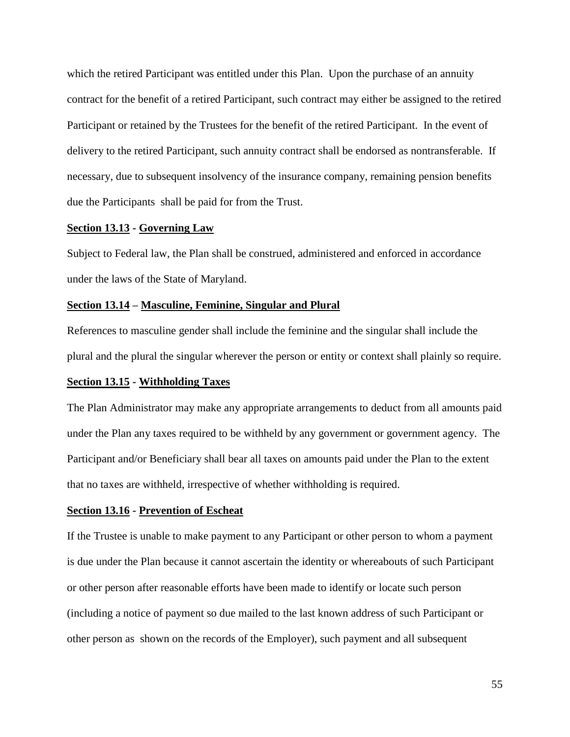which the retired Participant was entitled under this Plan. Upon the purchase of an annuity contract for the benefit of a retired Participant, such contract may either be assigned to the retired Participant or retained by the Trustees for the benefit of the retired Participant. In the event of delivery to the retired Participant, such annuity contract shall be endorsed as nontransferable. If necessary, due to subsequent insolvency of the insurance company, remaining pension benefits due the Participants shall be paid for from the Trust.

## **Section 13.13 - Governing Law**

Subject to Federal law, the Plan shall be construed, administered and enforced in accordance under the laws of the State of Maryland.

#### **Section 13.14 – Masculine, Feminine, Singular and Plural**

References to masculine gender shall include the feminine and the singular shall include the plural and the plural the singular wherever the person or entity or context shall plainly so require.

## **Section 13.15 - Withholding Taxes**

The Plan Administrator may make any appropriate arrangements to deduct from all amounts paid under the Plan any taxes required to be withheld by any government or government agency. The Participant and/or Beneficiary shall bear all taxes on amounts paid under the Plan to the extent that no taxes are withheld, irrespective of whether withholding is required.

#### **Section 13.16 - Prevention of Escheat**

If the Trustee is unable to make payment to any Participant or other person to whom a payment is due under the Plan because it cannot ascertain the identity or whereabouts of such Participant or other person after reasonable efforts have been made to identify or locate such person (including a notice of payment so due mailed to the last known address of such Participant or other person as shown on the records of the Employer), such payment and all subsequent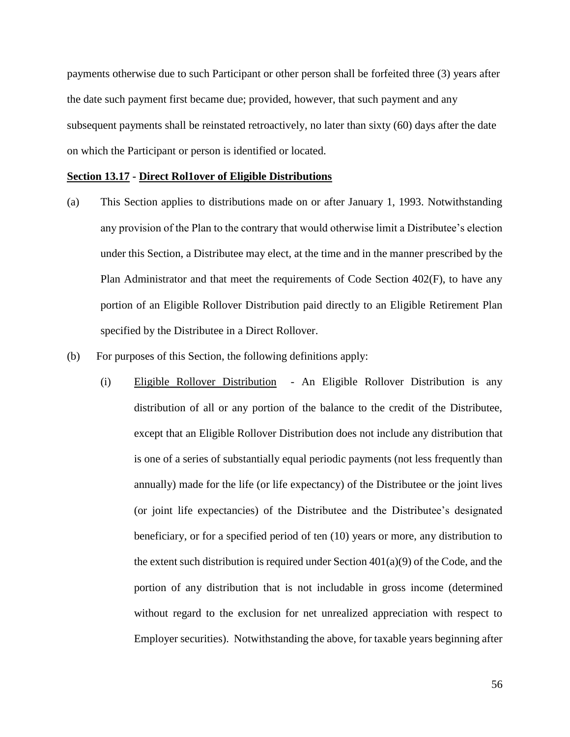payments otherwise due to such Participant or other person shall be forfeited three (3) years after the date such payment first became due; provided, however, that such payment and any subsequent payments shall be reinstated retroactively, no later than sixty (60) days after the date on which the Participant or person is identified or located.

#### **Section 13.17 - Direct Rol1over of Eligible Distributions**

- (a) This Section applies to distributions made on or after January 1, 1993. Notwithstanding any provision of the Plan to the contrary that would otherwise limit a Distributee's election under this Section, a Distributee may elect, at the time and in the manner prescribed by the Plan Administrator and that meet the requirements of Code Section 402(F), to have any portion of an Eligible Rollover Distribution paid directly to an Eligible Retirement Plan specified by the Distributee in a Direct Rollover.
- (b) For purposes of this Section, the following definitions apply:
	- (i) Eligible Rollover Distribution An Eligible Rollover Distribution is any distribution of all or any portion of the balance to the credit of the Distributee, except that an Eligible Rollover Distribution does not include any distribution that is one of a series of substantially equal periodic payments (not less frequently than annually) made for the life (or life expectancy) of the Distributee or the joint lives (or joint life expectancies) of the Distributee and the Distributee's designated beneficiary, or for a specified period of ten (10) years or more, any distribution to the extent such distribution is required under Section  $401(a)(9)$  of the Code, and the portion of any distribution that is not includable in gross income (determined without regard to the exclusion for net unrealized appreciation with respect to Employer securities). Notwithstanding the above, for taxable years beginning after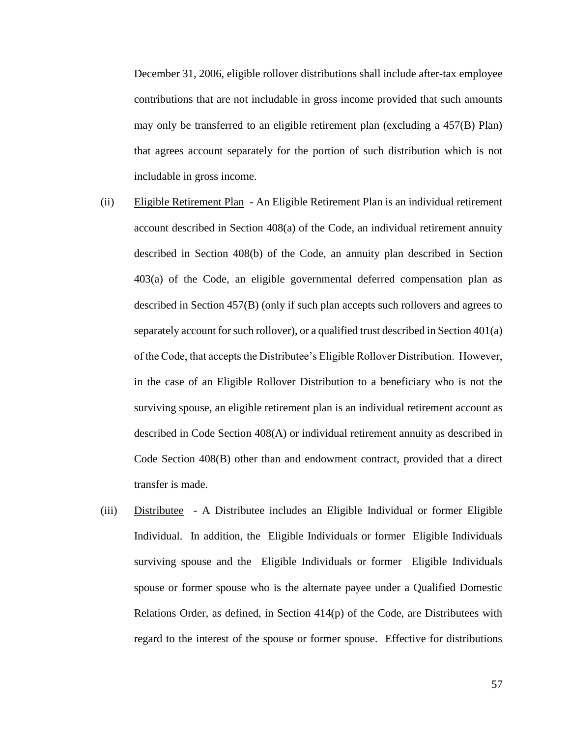December 31, 2006, eligible rollover distributions shall include after-tax employee contributions that are not includable in gross income provided that such amounts may only be transferred to an eligible retirement plan (excluding a 457(B) Plan) that agrees account separately for the portion of such distribution which is not includable in gross income.

- (ii) Eligible Retirement Plan An Eligible Retirement Plan is an individual retirement account described in Section 408(a) of the Code, an individual retirement annuity described in Section 408(b) of the Code, an annuity plan described in Section 403(a) of the Code, an eligible governmental deferred compensation plan as described in Section 457(B) (only if such plan accepts such rollovers and agrees to separately account for such rollover), or a qualified trust described in Section 401(a) of the Code, that accepts the Distributee's Eligible Rollover Distribution. However, in the case of an Eligible Rollover Distribution to a beneficiary who is not the surviving spouse, an eligible retirement plan is an individual retirement account as described in Code Section 408(A) or individual retirement annuity as described in Code Section 408(B) other than and endowment contract, provided that a direct transfer is made.
- (iii) Distributee A Distributee includes an Eligible Individual or former Eligible Individual. In addition, the Eligible Individuals or former Eligible Individuals surviving spouse and the Eligible Individuals or former Eligible Individuals spouse or former spouse who is the alternate payee under a Qualified Domestic Relations Order, as defined, in Section 414(p) of the Code, are Distributees with regard to the interest of the spouse or former spouse. Effective for distributions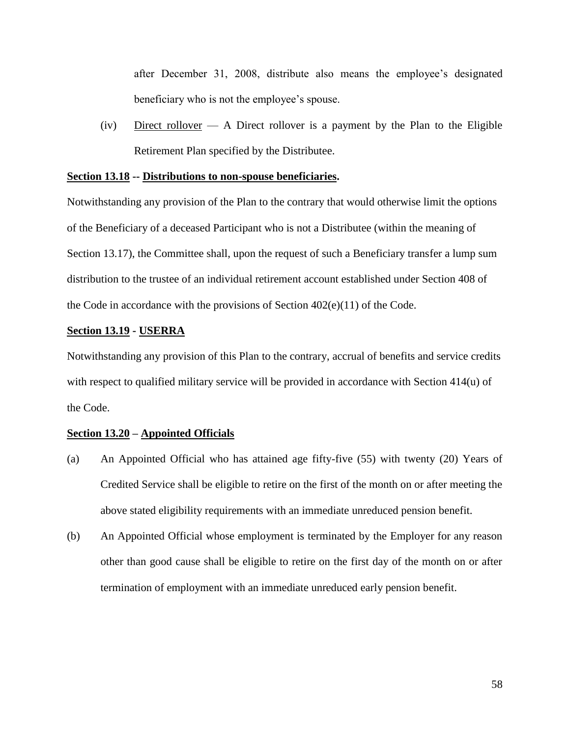after December 31, 2008, distribute also means the employee's designated beneficiary who is not the employee's spouse.

(iv) Direct rollover — A Direct rollover is a payment by the Plan to the Eligible Retirement Plan specified by the Distributee.

#### **Section 13.18 -- Distributions to non-spouse beneficiaries.**

Notwithstanding any provision of the Plan to the contrary that would otherwise limit the options of the Beneficiary of a deceased Participant who is not a Distributee (within the meaning of Section 13.17), the Committee shall, upon the request of such a Beneficiary transfer a lump sum distribution to the trustee of an individual retirement account established under Section 408 of the Code in accordance with the provisions of Section  $402(e)(11)$  of the Code.

## **Section 13.19 - USERRA**

Notwithstanding any provision of this Plan to the contrary, accrual of benefits and service credits with respect to qualified military service will be provided in accordance with Section 414(u) of the Code.

#### **Section 13.20 – Appointed Officials**

- (a) An Appointed Official who has attained age fifty-five (55) with twenty (20) Years of Credited Service shall be eligible to retire on the first of the month on or after meeting the above stated eligibility requirements with an immediate unreduced pension benefit.
- (b) An Appointed Official whose employment is terminated by the Employer for any reason other than good cause shall be eligible to retire on the first day of the month on or after termination of employment with an immediate unreduced early pension benefit.